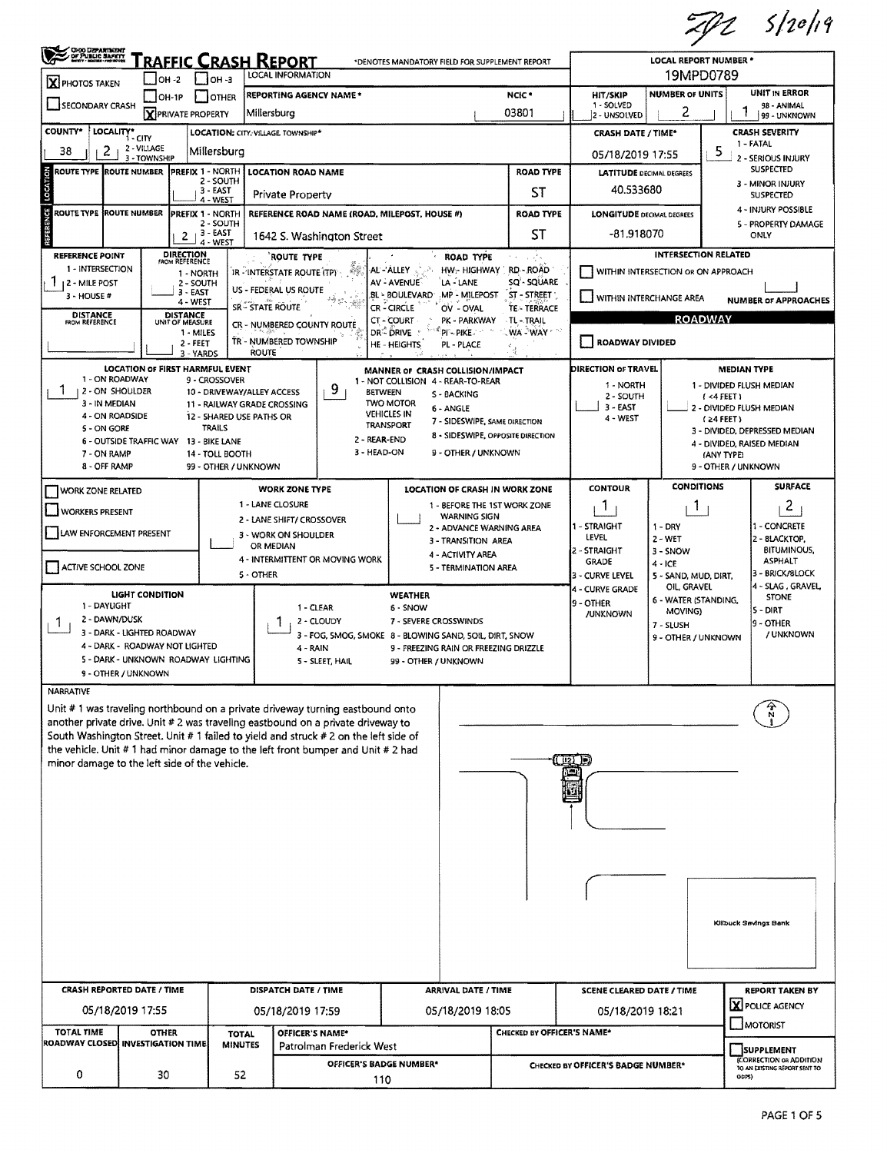$ZPL$  s/20/19

| 19MPD0789<br>LOCAL INFORMATION<br>OH -2<br>$1$ 10H $-3$<br>X PHOTOS TAKEN<br>UNIT IN ERROR<br><b>NUMBER OF UNITS</b><br>NCIC <sup>*</sup><br><b>REPORTING AGENCY NAME *</b><br><b>HIT/SKIP</b><br>$OH-1P$<br>OTHER<br>SECONDARY CRASH<br>1 - SOLVED<br>98 - ANIMAL<br>2<br>03801<br><b>Y PRIVATE PROPERTY</b><br>Millersburg<br>2 - UNSOLVED<br>99 - UNKNOWN<br><b>COUNTY*</b><br>LOCALITY* CITY<br><b>CRASH SEVERITY</b><br>LOCATION: CITY, VILLAGE TOWNSHIP*<br><b>CRASH DATE / TIME*</b><br>1 - FATAL<br>2 - VILLAGE<br>2<br>38<br>5<br>Millersburg<br>05/18/2019 17:55<br>3 - TOWNSHIP<br>2 - SERIOUS INJURY<br><b>SUSPECTED</b><br><b>PREFIX 1 - NORTH</b><br>LOCATION<br>ROUTE TYPE IROUTE NUMBER<br><b>LOCATION ROAD NAME</b><br><b>ROAD TYPE</b><br><b>LATITUDE</b> DECIMAL DEGREES<br>2 - SOUTH<br>3 - MINOR INJURY<br>40.533680<br>3 - EAST<br>ST<br><b>Private Property</b><br><b>SUSPECTED</b><br>4 - WEST<br>4 - INJURY POSSIBLE<br>ξE<br>ROUTE TYPE  ROUTE NUMBER<br><b>PREFIX 1 - NORTH</b><br>REFERENCE ROAD NAME (ROAD, MILEPOST, HOUSE #)<br><b>ROAD TYPE</b><br><b>LONGITUDE DECIMAL DEGREES</b><br>2 - SOUTH<br>5 - PROPERTY DAMAGE<br>$2 + 3 - EAST$<br>ST<br>$-81.918070$<br>ONLY<br>1642 S. Washington Street<br>4 - WEST<br><b>DIRECTION</b><br>FROM REFERENCE<br><b>INTERSECTION RELATED</b><br>REFERENCE POINT<br><b>ROUTE TYPE</b><br><b>ROAD TYPE</b><br>1 - INTERSECTION<br>$\mathcal{L}$<br>AL - ALLEY<br>HW <sub>I</sub> -HIGHWAY<br>RD - ROAD<br>WITHIN INTERSECTION OR ON APPROACH<br>IR - INTERSTATE ROUTE (TP)<br>1 - NORTH<br>SQ'- SQUARE<br>AV - AVENUE<br>LA - LANE<br><b>12 - MILE POST</b><br>2 - SOUTH<br>US - FEDERAL US ROUTE<br>3 - EAST<br>BL - BOULEVARD MP - MILEPOST<br>ST - STREET<br>3 - HOUSE #<br>] WITHIN INTERCHANGE AREA<br><b>NUMBER OF APPROACHES</b><br>4 - WEST<br><b>SR - STATE ROUTE</b><br>CR-CIRCLE<br><b>TE-TERRACE</b><br>OV - OVAL<br>DISTANCE<br>UNIT OF MEASURE<br><b>DISTANCE</b><br>FROM REFERENCE<br><b>ROADWAY</b><br>CT-COURT<br>PK - PARKWAY<br>TL-TRAIL<br>CR - NUMBERED COUNTY ROUTE<br>DR <sup>-</sup> DRIVE<br>$^{\circ}$ PI $\sim$ PIKE $\cdot$<br><b>WA WAY</b><br>1 - MILES<br>TR - NUMBERED TOWNSHIP<br>ROADWAY DIVIDED<br>2 - FEET<br><b>HE-HEIGHTS</b><br>PL - PLACE<br><b>ROUTE</b><br>3 - YARDS<br>LOCATION OF FIRST HARMFUL EVENT<br>DIRECTION OF TRAVEL<br><b>MEDIAN TYPE</b><br>MANNER OF CRASH COLLISION/IMPACT<br>1 - ON ROADWAY<br>9 - CROSSOVER<br>1 - NOT COLLISION 4 - REAR-TO-REAR<br>1 - NORTH<br>1 - DIVIDED FLUSH MEDIAN<br>9<br>I.<br>1 2 - ON SHOULDER<br>10 - DRIVEWAY/ALLEY ACCESS<br><b>BETWEEN</b><br>S - BACKING<br>2 - SOUTH<br>(4 FEET)<br>3 - IN MEDIAN<br><b>TWO MOTOR</b><br>11 - RAILWAY GRADE CROSSING<br>$3 - EAST$<br>2 - DIVIDED FLUSH MEDIAN<br>6 - ANGLE<br><b>VEHICLES IN</b><br>4 - ON ROADSIDE<br>12 - SHARED USE PATHS OR<br>4 - WEST<br>$(24$ FEET)<br>7 - SIDESWIPE, SAME DIRECTION<br>TRANSPORT<br>TRAILS<br>5 - ON GORE<br>3 - DIVIDED, DEPRESSED MEDIAN<br>8 - SIDESWIPE, OPPOSITE DIRECTION<br>2 - REAR-END<br>6 - OUTSIDE TRAFFIC WAY 13 - BIKE LANE<br>4 - DIVIDED, RAISED MEDIAN<br>3 - HEAD-ON<br>9 - OTHER / UNKNOWN<br>7 - ON RAMP<br>14 - TOLL BOOTH<br>(ANY TYPE)<br>8 - OFF RAMP<br>99 - OTHER / UNKNOWN<br>9 - OTHER / UNKNOWN<br><b>CONDITIONS</b><br><b>SURFACE</b><br><b>CONTOUR</b><br><b>WORK ZONE TYPE</b><br><b>LOCATION OF CRASH IN WORK ZONE</b><br>WORK ZONE RELATED<br>1 - LANE CLOSURE<br>$\overline{c}$<br>1 - BEFORE THE 1ST WORK ZONE<br>1<br>1<br><b>WORKERS PRESENT</b><br><b>WARNING SIGN</b><br>2 - LANE SHIFT/ CROSSOVER<br>1 - STRAIGHT<br>1 - CONCRETE<br>$1 - DRY$<br>2 - ADVANCE WARNING AREA<br>LAW ENFORCEMENT PRESENT<br>3 - WORK ON SHOULDER<br><b>LEVEL</b><br>2 - BLACKTOP,<br>2 - WET<br>3 - TRANSITION AREA<br>OR MEDIAN<br><b>BITUMINOUS,</b><br>2 - STRAIGHT<br>3 - SNOW<br>4 - ACTIVITY AREA<br>4 - INTERMITTENT OR MOVING WORK<br><b>ASPHALT</b><br>GRADE<br>$4 - ICE$<br>ACTIVE SCHOOL ZONE<br>5 - TERMINATION AREA<br>3 - BRICK/BLOCK<br>5 - OTHER<br>3 - CURVE LEVEL<br>5 - SAND, MUD, DIRT,<br>4 - SLAG, GRAVEL<br>OIL, GRAVEL<br>4 - CURVE GRADE<br><b>LIGHT CONDITION</b><br>WEATHER<br><b>STONE</b><br>6 - WATER (STANDING,<br>19 - OTHER<br>1 - DAYUGHT<br>1 - CLEAR<br>6 - SNOW<br>S - DIRT<br>MOVING)<br>/UNKNOWN<br>2 - DAWN/DUSK<br>2 - CLOUDY<br>7 - SEVERE CROSSWINDS<br>9 - OTHER<br>Ŧ<br>7 - SLUSH<br>3 - DARK - LIGHTED ROADWAY<br>/ UNKNOWN<br>3 - FOG, 5MOG, SMOKE 8 - BLOWING SAND, 5OIL, DIRT, SNOW<br>9 - OTHER / UNKNOWN<br>4 - DARK - ROADWAY NOT LIGHTED<br>4 - RAIN<br>9 - FREEZING RAIN OR FREEZING DRIZZLE<br>5 - DARK - UNKNOWN ROADWAY LIGHTING<br>5 - SLEET, HAIL<br>99 - OTHER / UNKNOWN<br>9 - OTHER / UNKNOWN<br><b>NARRATIVE</b><br>Unit #1 was traveling northbound on a private driveway turning eastbound onto<br>another private drive. Unit # 2 was traveling eastbound on a private driveway to<br>South Washington Street. Unit # 1 failed to yield and struck # 2 on the left side of<br>the vehicle. Unit $# 1$ had minor damage to the left front bumper and Unit $# 2$ had<br>$\sqrt{121}$ D<br>minor damage to the left side of the vehicle.<br>16U)<br>ïη<br>Kilbuck Savings Bank<br><b>CRASH REPORTED DATE / TIME</b><br><b>DISPATCH DATE / TIME</b><br><b>ARRIVAL DATE / TIME</b><br><b>SCENE CLEARED DATE / TIME</b><br><b>REPORT TAKEN BY</b><br>X POLICE AGENCY<br>05/18/2019 17:55<br>05/18/2019 18:05<br>05/18/2019 17:59<br>05/18/2019 18:21<br>MOTORIST<br><b>TOTAL TIME</b><br>CHECKED BY OFFICER'S NAME*<br><b>OTHER</b><br>OFFICER'S NAME*<br><b>TOTAL</b><br>ROADWAY CLOSED INVESTIGATION TIME<br><b>MINUTES</b><br>Patrolman Frederick West<br><b>SUPPLEMENT</b><br>(CORRECTION OR ADDITION<br>OFFICER'S BADGE NUMBER*<br>CHECKED BY OFFICER'S BADGE NUMBER*<br>TO AN EXISTING REPORT SENT TO<br>0<br>30<br>52<br>QDPS<br>110 | <b>ORO DEPARTMENT<br/>DE PUBLIC BAFETT<br/>MOTO BORD DERETT</b><br><u>RAFFIC CRASH REPORT</u><br><b>LOCAL REPORT NUMBER *</b><br>*DENOTES MANDATORY FIELD FOR SUPPLEMENT REPORT |  |  |  |  |  |  |  |  |  |  |
|---------------------------------------------------------------------------------------------------------------------------------------------------------------------------------------------------------------------------------------------------------------------------------------------------------------------------------------------------------------------------------------------------------------------------------------------------------------------------------------------------------------------------------------------------------------------------------------------------------------------------------------------------------------------------------------------------------------------------------------------------------------------------------------------------------------------------------------------------------------------------------------------------------------------------------------------------------------------------------------------------------------------------------------------------------------------------------------------------------------------------------------------------------------------------------------------------------------------------------------------------------------------------------------------------------------------------------------------------------------------------------------------------------------------------------------------------------------------------------------------------------------------------------------------------------------------------------------------------------------------------------------------------------------------------------------------------------------------------------------------------------------------------------------------------------------------------------------------------------------------------------------------------------------------------------------------------------------------------------------------------------------------------------------------------------------------------------------------------------------------------------------------------------------------------------------------------------------------------------------------------------------------------------------------------------------------------------------------------------------------------------------------------------------------------------------------------------------------------------------------------------------------------------------------------------------------------------------------------------------------------------------------------------------------------------------------------------------------------------------------------------------------------------------------------------------------------------------------------------------------------------------------------------------------------------------------------------------------------------------------------------------------------------------------------------------------------------------------------------------------------------------------------------------------------------------------------------------------------------------------------------------------------------------------------------------------------------------------------------------------------------------------------------------------------------------------------------------------------------------------------------------------------------------------------------------------------------------------------------------------------------------------------------------------------------------------------------------------------------------------------------------------------------------------------------------------------------------------------------------------------------------------------------------------------------------------------------------------------------------------------------------------------------------------------------------------------------------------------------------------------------------------------------------------------------------------------------------------------------------------------------------------------------------------------------------------------------------------------------------------------------------------------------------------------------------------------------------------------------------------------------------------------------------------------------------------------------------------------------------------------------------------------------------------------------------------------------------------------------------------------------------------------------------------------------------------------------------------------------------------------------------------------------------------------------------------------------------------------------------------------------------------------------------------------------------------------------------------------------------------------------------------------------------------------------------------------------------------------------------------------------------------------------------------------------------------------------------------------------------------------------------------------------------------------------------------------------------------------------------------------------------------------------------------------------------------------------------------------------------------------------------------------------------------------------------------------------------------------------------------------------------------------------------------------------------------------------------------------------------------------|---------------------------------------------------------------------------------------------------------------------------------------------------------------------------------|--|--|--|--|--|--|--|--|--|--|
|                                                                                                                                                                                                                                                                                                                                                                                                                                                                                                                                                                                                                                                                                                                                                                                                                                                                                                                                                                                                                                                                                                                                                                                                                                                                                                                                                                                                                                                                                                                                                                                                                                                                                                                                                                                                                                                                                                                                                                                                                                                                                                                                                                                                                                                                                                                                                                                                                                                                                                                                                                                                                                                                                                                                                                                                                                                                                                                                                                                                                                                                                                                                                                                                                                                                                                                                                                                                                                                                                                                                                                                                                                                                                                                                                                                                                                                                                                                                                                                                                                                                                                                                                                                                                                                                                                                                                                                                                                                                                                                                                                                                                                                                                                                                                                                                                                                                                                                                                                                                                                                                                                                                                                                                                                                                                                                                                                                                                                                                                                                                                                                                                                                                                                                                                                                                                                                                           |                                                                                                                                                                                 |  |  |  |  |  |  |  |  |  |  |
|                                                                                                                                                                                                                                                                                                                                                                                                                                                                                                                                                                                                                                                                                                                                                                                                                                                                                                                                                                                                                                                                                                                                                                                                                                                                                                                                                                                                                                                                                                                                                                                                                                                                                                                                                                                                                                                                                                                                                                                                                                                                                                                                                                                                                                                                                                                                                                                                                                                                                                                                                                                                                                                                                                                                                                                                                                                                                                                                                                                                                                                                                                                                                                                                                                                                                                                                                                                                                                                                                                                                                                                                                                                                                                                                                                                                                                                                                                                                                                                                                                                                                                                                                                                                                                                                                                                                                                                                                                                                                                                                                                                                                                                                                                                                                                                                                                                                                                                                                                                                                                                                                                                                                                                                                                                                                                                                                                                                                                                                                                                                                                                                                                                                                                                                                                                                                                                                           |                                                                                                                                                                                 |  |  |  |  |  |  |  |  |  |  |
|                                                                                                                                                                                                                                                                                                                                                                                                                                                                                                                                                                                                                                                                                                                                                                                                                                                                                                                                                                                                                                                                                                                                                                                                                                                                                                                                                                                                                                                                                                                                                                                                                                                                                                                                                                                                                                                                                                                                                                                                                                                                                                                                                                                                                                                                                                                                                                                                                                                                                                                                                                                                                                                                                                                                                                                                                                                                                                                                                                                                                                                                                                                                                                                                                                                                                                                                                                                                                                                                                                                                                                                                                                                                                                                                                                                                                                                                                                                                                                                                                                                                                                                                                                                                                                                                                                                                                                                                                                                                                                                                                                                                                                                                                                                                                                                                                                                                                                                                                                                                                                                                                                                                                                                                                                                                                                                                                                                                                                                                                                                                                                                                                                                                                                                                                                                                                                                                           |                                                                                                                                                                                 |  |  |  |  |  |  |  |  |  |  |
|                                                                                                                                                                                                                                                                                                                                                                                                                                                                                                                                                                                                                                                                                                                                                                                                                                                                                                                                                                                                                                                                                                                                                                                                                                                                                                                                                                                                                                                                                                                                                                                                                                                                                                                                                                                                                                                                                                                                                                                                                                                                                                                                                                                                                                                                                                                                                                                                                                                                                                                                                                                                                                                                                                                                                                                                                                                                                                                                                                                                                                                                                                                                                                                                                                                                                                                                                                                                                                                                                                                                                                                                                                                                                                                                                                                                                                                                                                                                                                                                                                                                                                                                                                                                                                                                                                                                                                                                                                                                                                                                                                                                                                                                                                                                                                                                                                                                                                                                                                                                                                                                                                                                                                                                                                                                                                                                                                                                                                                                                                                                                                                                                                                                                                                                                                                                                                                                           |                                                                                                                                                                                 |  |  |  |  |  |  |  |  |  |  |
|                                                                                                                                                                                                                                                                                                                                                                                                                                                                                                                                                                                                                                                                                                                                                                                                                                                                                                                                                                                                                                                                                                                                                                                                                                                                                                                                                                                                                                                                                                                                                                                                                                                                                                                                                                                                                                                                                                                                                                                                                                                                                                                                                                                                                                                                                                                                                                                                                                                                                                                                                                                                                                                                                                                                                                                                                                                                                                                                                                                                                                                                                                                                                                                                                                                                                                                                                                                                                                                                                                                                                                                                                                                                                                                                                                                                                                                                                                                                                                                                                                                                                                                                                                                                                                                                                                                                                                                                                                                                                                                                                                                                                                                                                                                                                                                                                                                                                                                                                                                                                                                                                                                                                                                                                                                                                                                                                                                                                                                                                                                                                                                                                                                                                                                                                                                                                                                                           |                                                                                                                                                                                 |  |  |  |  |  |  |  |  |  |  |
|                                                                                                                                                                                                                                                                                                                                                                                                                                                                                                                                                                                                                                                                                                                                                                                                                                                                                                                                                                                                                                                                                                                                                                                                                                                                                                                                                                                                                                                                                                                                                                                                                                                                                                                                                                                                                                                                                                                                                                                                                                                                                                                                                                                                                                                                                                                                                                                                                                                                                                                                                                                                                                                                                                                                                                                                                                                                                                                                                                                                                                                                                                                                                                                                                                                                                                                                                                                                                                                                                                                                                                                                                                                                                                                                                                                                                                                                                                                                                                                                                                                                                                                                                                                                                                                                                                                                                                                                                                                                                                                                                                                                                                                                                                                                                                                                                                                                                                                                                                                                                                                                                                                                                                                                                                                                                                                                                                                                                                                                                                                                                                                                                                                                                                                                                                                                                                                                           |                                                                                                                                                                                 |  |  |  |  |  |  |  |  |  |  |
|                                                                                                                                                                                                                                                                                                                                                                                                                                                                                                                                                                                                                                                                                                                                                                                                                                                                                                                                                                                                                                                                                                                                                                                                                                                                                                                                                                                                                                                                                                                                                                                                                                                                                                                                                                                                                                                                                                                                                                                                                                                                                                                                                                                                                                                                                                                                                                                                                                                                                                                                                                                                                                                                                                                                                                                                                                                                                                                                                                                                                                                                                                                                                                                                                                                                                                                                                                                                                                                                                                                                                                                                                                                                                                                                                                                                                                                                                                                                                                                                                                                                                                                                                                                                                                                                                                                                                                                                                                                                                                                                                                                                                                                                                                                                                                                                                                                                                                                                                                                                                                                                                                                                                                                                                                                                                                                                                                                                                                                                                                                                                                                                                                                                                                                                                                                                                                                                           |                                                                                                                                                                                 |  |  |  |  |  |  |  |  |  |  |
|                                                                                                                                                                                                                                                                                                                                                                                                                                                                                                                                                                                                                                                                                                                                                                                                                                                                                                                                                                                                                                                                                                                                                                                                                                                                                                                                                                                                                                                                                                                                                                                                                                                                                                                                                                                                                                                                                                                                                                                                                                                                                                                                                                                                                                                                                                                                                                                                                                                                                                                                                                                                                                                                                                                                                                                                                                                                                                                                                                                                                                                                                                                                                                                                                                                                                                                                                                                                                                                                                                                                                                                                                                                                                                                                                                                                                                                                                                                                                                                                                                                                                                                                                                                                                                                                                                                                                                                                                                                                                                                                                                                                                                                                                                                                                                                                                                                                                                                                                                                                                                                                                                                                                                                                                                                                                                                                                                                                                                                                                                                                                                                                                                                                                                                                                                                                                                                                           |                                                                                                                                                                                 |  |  |  |  |  |  |  |  |  |  |
|                                                                                                                                                                                                                                                                                                                                                                                                                                                                                                                                                                                                                                                                                                                                                                                                                                                                                                                                                                                                                                                                                                                                                                                                                                                                                                                                                                                                                                                                                                                                                                                                                                                                                                                                                                                                                                                                                                                                                                                                                                                                                                                                                                                                                                                                                                                                                                                                                                                                                                                                                                                                                                                                                                                                                                                                                                                                                                                                                                                                                                                                                                                                                                                                                                                                                                                                                                                                                                                                                                                                                                                                                                                                                                                                                                                                                                                                                                                                                                                                                                                                                                                                                                                                                                                                                                                                                                                                                                                                                                                                                                                                                                                                                                                                                                                                                                                                                                                                                                                                                                                                                                                                                                                                                                                                                                                                                                                                                                                                                                                                                                                                                                                                                                                                                                                                                                                                           |                                                                                                                                                                                 |  |  |  |  |  |  |  |  |  |  |
|                                                                                                                                                                                                                                                                                                                                                                                                                                                                                                                                                                                                                                                                                                                                                                                                                                                                                                                                                                                                                                                                                                                                                                                                                                                                                                                                                                                                                                                                                                                                                                                                                                                                                                                                                                                                                                                                                                                                                                                                                                                                                                                                                                                                                                                                                                                                                                                                                                                                                                                                                                                                                                                                                                                                                                                                                                                                                                                                                                                                                                                                                                                                                                                                                                                                                                                                                                                                                                                                                                                                                                                                                                                                                                                                                                                                                                                                                                                                                                                                                                                                                                                                                                                                                                                                                                                                                                                                                                                                                                                                                                                                                                                                                                                                                                                                                                                                                                                                                                                                                                                                                                                                                                                                                                                                                                                                                                                                                                                                                                                                                                                                                                                                                                                                                                                                                                                                           |                                                                                                                                                                                 |  |  |  |  |  |  |  |  |  |  |
|                                                                                                                                                                                                                                                                                                                                                                                                                                                                                                                                                                                                                                                                                                                                                                                                                                                                                                                                                                                                                                                                                                                                                                                                                                                                                                                                                                                                                                                                                                                                                                                                                                                                                                                                                                                                                                                                                                                                                                                                                                                                                                                                                                                                                                                                                                                                                                                                                                                                                                                                                                                                                                                                                                                                                                                                                                                                                                                                                                                                                                                                                                                                                                                                                                                                                                                                                                                                                                                                                                                                                                                                                                                                                                                                                                                                                                                                                                                                                                                                                                                                                                                                                                                                                                                                                                                                                                                                                                                                                                                                                                                                                                                                                                                                                                                                                                                                                                                                                                                                                                                                                                                                                                                                                                                                                                                                                                                                                                                                                                                                                                                                                                                                                                                                                                                                                                                                           |                                                                                                                                                                                 |  |  |  |  |  |  |  |  |  |  |
|                                                                                                                                                                                                                                                                                                                                                                                                                                                                                                                                                                                                                                                                                                                                                                                                                                                                                                                                                                                                                                                                                                                                                                                                                                                                                                                                                                                                                                                                                                                                                                                                                                                                                                                                                                                                                                                                                                                                                                                                                                                                                                                                                                                                                                                                                                                                                                                                                                                                                                                                                                                                                                                                                                                                                                                                                                                                                                                                                                                                                                                                                                                                                                                                                                                                                                                                                                                                                                                                                                                                                                                                                                                                                                                                                                                                                                                                                                                                                                                                                                                                                                                                                                                                                                                                                                                                                                                                                                                                                                                                                                                                                                                                                                                                                                                                                                                                                                                                                                                                                                                                                                                                                                                                                                                                                                                                                                                                                                                                                                                                                                                                                                                                                                                                                                                                                                                                           |                                                                                                                                                                                 |  |  |  |  |  |  |  |  |  |  |
|                                                                                                                                                                                                                                                                                                                                                                                                                                                                                                                                                                                                                                                                                                                                                                                                                                                                                                                                                                                                                                                                                                                                                                                                                                                                                                                                                                                                                                                                                                                                                                                                                                                                                                                                                                                                                                                                                                                                                                                                                                                                                                                                                                                                                                                                                                                                                                                                                                                                                                                                                                                                                                                                                                                                                                                                                                                                                                                                                                                                                                                                                                                                                                                                                                                                                                                                                                                                                                                                                                                                                                                                                                                                                                                                                                                                                                                                                                                                                                                                                                                                                                                                                                                                                                                                                                                                                                                                                                                                                                                                                                                                                                                                                                                                                                                                                                                                                                                                                                                                                                                                                                                                                                                                                                                                                                                                                                                                                                                                                                                                                                                                                                                                                                                                                                                                                                                                           |                                                                                                                                                                                 |  |  |  |  |  |  |  |  |  |  |
|                                                                                                                                                                                                                                                                                                                                                                                                                                                                                                                                                                                                                                                                                                                                                                                                                                                                                                                                                                                                                                                                                                                                                                                                                                                                                                                                                                                                                                                                                                                                                                                                                                                                                                                                                                                                                                                                                                                                                                                                                                                                                                                                                                                                                                                                                                                                                                                                                                                                                                                                                                                                                                                                                                                                                                                                                                                                                                                                                                                                                                                                                                                                                                                                                                                                                                                                                                                                                                                                                                                                                                                                                                                                                                                                                                                                                                                                                                                                                                                                                                                                                                                                                                                                                                                                                                                                                                                                                                                                                                                                                                                                                                                                                                                                                                                                                                                                                                                                                                                                                                                                                                                                                                                                                                                                                                                                                                                                                                                                                                                                                                                                                                                                                                                                                                                                                                                                           |                                                                                                                                                                                 |  |  |  |  |  |  |  |  |  |  |
|                                                                                                                                                                                                                                                                                                                                                                                                                                                                                                                                                                                                                                                                                                                                                                                                                                                                                                                                                                                                                                                                                                                                                                                                                                                                                                                                                                                                                                                                                                                                                                                                                                                                                                                                                                                                                                                                                                                                                                                                                                                                                                                                                                                                                                                                                                                                                                                                                                                                                                                                                                                                                                                                                                                                                                                                                                                                                                                                                                                                                                                                                                                                                                                                                                                                                                                                                                                                                                                                                                                                                                                                                                                                                                                                                                                                                                                                                                                                                                                                                                                                                                                                                                                                                                                                                                                                                                                                                                                                                                                                                                                                                                                                                                                                                                                                                                                                                                                                                                                                                                                                                                                                                                                                                                                                                                                                                                                                                                                                                                                                                                                                                                                                                                                                                                                                                                                                           |                                                                                                                                                                                 |  |  |  |  |  |  |  |  |  |  |
|                                                                                                                                                                                                                                                                                                                                                                                                                                                                                                                                                                                                                                                                                                                                                                                                                                                                                                                                                                                                                                                                                                                                                                                                                                                                                                                                                                                                                                                                                                                                                                                                                                                                                                                                                                                                                                                                                                                                                                                                                                                                                                                                                                                                                                                                                                                                                                                                                                                                                                                                                                                                                                                                                                                                                                                                                                                                                                                                                                                                                                                                                                                                                                                                                                                                                                                                                                                                                                                                                                                                                                                                                                                                                                                                                                                                                                                                                                                                                                                                                                                                                                                                                                                                                                                                                                                                                                                                                                                                                                                                                                                                                                                                                                                                                                                                                                                                                                                                                                                                                                                                                                                                                                                                                                                                                                                                                                                                                                                                                                                                                                                                                                                                                                                                                                                                                                                                           |                                                                                                                                                                                 |  |  |  |  |  |  |  |  |  |  |
|                                                                                                                                                                                                                                                                                                                                                                                                                                                                                                                                                                                                                                                                                                                                                                                                                                                                                                                                                                                                                                                                                                                                                                                                                                                                                                                                                                                                                                                                                                                                                                                                                                                                                                                                                                                                                                                                                                                                                                                                                                                                                                                                                                                                                                                                                                                                                                                                                                                                                                                                                                                                                                                                                                                                                                                                                                                                                                                                                                                                                                                                                                                                                                                                                                                                                                                                                                                                                                                                                                                                                                                                                                                                                                                                                                                                                                                                                                                                                                                                                                                                                                                                                                                                                                                                                                                                                                                                                                                                                                                                                                                                                                                                                                                                                                                                                                                                                                                                                                                                                                                                                                                                                                                                                                                                                                                                                                                                                                                                                                                                                                                                                                                                                                                                                                                                                                                                           |                                                                                                                                                                                 |  |  |  |  |  |  |  |  |  |  |
|                                                                                                                                                                                                                                                                                                                                                                                                                                                                                                                                                                                                                                                                                                                                                                                                                                                                                                                                                                                                                                                                                                                                                                                                                                                                                                                                                                                                                                                                                                                                                                                                                                                                                                                                                                                                                                                                                                                                                                                                                                                                                                                                                                                                                                                                                                                                                                                                                                                                                                                                                                                                                                                                                                                                                                                                                                                                                                                                                                                                                                                                                                                                                                                                                                                                                                                                                                                                                                                                                                                                                                                                                                                                                                                                                                                                                                                                                                                                                                                                                                                                                                                                                                                                                                                                                                                                                                                                                                                                                                                                                                                                                                                                                                                                                                                                                                                                                                                                                                                                                                                                                                                                                                                                                                                                                                                                                                                                                                                                                                                                                                                                                                                                                                                                                                                                                                                                           |                                                                                                                                                                                 |  |  |  |  |  |  |  |  |  |  |
|                                                                                                                                                                                                                                                                                                                                                                                                                                                                                                                                                                                                                                                                                                                                                                                                                                                                                                                                                                                                                                                                                                                                                                                                                                                                                                                                                                                                                                                                                                                                                                                                                                                                                                                                                                                                                                                                                                                                                                                                                                                                                                                                                                                                                                                                                                                                                                                                                                                                                                                                                                                                                                                                                                                                                                                                                                                                                                                                                                                                                                                                                                                                                                                                                                                                                                                                                                                                                                                                                                                                                                                                                                                                                                                                                                                                                                                                                                                                                                                                                                                                                                                                                                                                                                                                                                                                                                                                                                                                                                                                                                                                                                                                                                                                                                                                                                                                                                                                                                                                                                                                                                                                                                                                                                                                                                                                                                                                                                                                                                                                                                                                                                                                                                                                                                                                                                                                           |                                                                                                                                                                                 |  |  |  |  |  |  |  |  |  |  |
|                                                                                                                                                                                                                                                                                                                                                                                                                                                                                                                                                                                                                                                                                                                                                                                                                                                                                                                                                                                                                                                                                                                                                                                                                                                                                                                                                                                                                                                                                                                                                                                                                                                                                                                                                                                                                                                                                                                                                                                                                                                                                                                                                                                                                                                                                                                                                                                                                                                                                                                                                                                                                                                                                                                                                                                                                                                                                                                                                                                                                                                                                                                                                                                                                                                                                                                                                                                                                                                                                                                                                                                                                                                                                                                                                                                                                                                                                                                                                                                                                                                                                                                                                                                                                                                                                                                                                                                                                                                                                                                                                                                                                                                                                                                                                                                                                                                                                                                                                                                                                                                                                                                                                                                                                                                                                                                                                                                                                                                                                                                                                                                                                                                                                                                                                                                                                                                                           |                                                                                                                                                                                 |  |  |  |  |  |  |  |  |  |  |
|                                                                                                                                                                                                                                                                                                                                                                                                                                                                                                                                                                                                                                                                                                                                                                                                                                                                                                                                                                                                                                                                                                                                                                                                                                                                                                                                                                                                                                                                                                                                                                                                                                                                                                                                                                                                                                                                                                                                                                                                                                                                                                                                                                                                                                                                                                                                                                                                                                                                                                                                                                                                                                                                                                                                                                                                                                                                                                                                                                                                                                                                                                                                                                                                                                                                                                                                                                                                                                                                                                                                                                                                                                                                                                                                                                                                                                                                                                                                                                                                                                                                                                                                                                                                                                                                                                                                                                                                                                                                                                                                                                                                                                                                                                                                                                                                                                                                                                                                                                                                                                                                                                                                                                                                                                                                                                                                                                                                                                                                                                                                                                                                                                                                                                                                                                                                                                                                           |                                                                                                                                                                                 |  |  |  |  |  |  |  |  |  |  |
|                                                                                                                                                                                                                                                                                                                                                                                                                                                                                                                                                                                                                                                                                                                                                                                                                                                                                                                                                                                                                                                                                                                                                                                                                                                                                                                                                                                                                                                                                                                                                                                                                                                                                                                                                                                                                                                                                                                                                                                                                                                                                                                                                                                                                                                                                                                                                                                                                                                                                                                                                                                                                                                                                                                                                                                                                                                                                                                                                                                                                                                                                                                                                                                                                                                                                                                                                                                                                                                                                                                                                                                                                                                                                                                                                                                                                                                                                                                                                                                                                                                                                                                                                                                                                                                                                                                                                                                                                                                                                                                                                                                                                                                                                                                                                                                                                                                                                                                                                                                                                                                                                                                                                                                                                                                                                                                                                                                                                                                                                                                                                                                                                                                                                                                                                                                                                                                                           |                                                                                                                                                                                 |  |  |  |  |  |  |  |  |  |  |
|                                                                                                                                                                                                                                                                                                                                                                                                                                                                                                                                                                                                                                                                                                                                                                                                                                                                                                                                                                                                                                                                                                                                                                                                                                                                                                                                                                                                                                                                                                                                                                                                                                                                                                                                                                                                                                                                                                                                                                                                                                                                                                                                                                                                                                                                                                                                                                                                                                                                                                                                                                                                                                                                                                                                                                                                                                                                                                                                                                                                                                                                                                                                                                                                                                                                                                                                                                                                                                                                                                                                                                                                                                                                                                                                                                                                                                                                                                                                                                                                                                                                                                                                                                                                                                                                                                                                                                                                                                                                                                                                                                                                                                                                                                                                                                                                                                                                                                                                                                                                                                                                                                                                                                                                                                                                                                                                                                                                                                                                                                                                                                                                                                                                                                                                                                                                                                                                           |                                                                                                                                                                                 |  |  |  |  |  |  |  |  |  |  |
|                                                                                                                                                                                                                                                                                                                                                                                                                                                                                                                                                                                                                                                                                                                                                                                                                                                                                                                                                                                                                                                                                                                                                                                                                                                                                                                                                                                                                                                                                                                                                                                                                                                                                                                                                                                                                                                                                                                                                                                                                                                                                                                                                                                                                                                                                                                                                                                                                                                                                                                                                                                                                                                                                                                                                                                                                                                                                                                                                                                                                                                                                                                                                                                                                                                                                                                                                                                                                                                                                                                                                                                                                                                                                                                                                                                                                                                                                                                                                                                                                                                                                                                                                                                                                                                                                                                                                                                                                                                                                                                                                                                                                                                                                                                                                                                                                                                                                                                                                                                                                                                                                                                                                                                                                                                                                                                                                                                                                                                                                                                                                                                                                                                                                                                                                                                                                                                                           |                                                                                                                                                                                 |  |  |  |  |  |  |  |  |  |  |
|                                                                                                                                                                                                                                                                                                                                                                                                                                                                                                                                                                                                                                                                                                                                                                                                                                                                                                                                                                                                                                                                                                                                                                                                                                                                                                                                                                                                                                                                                                                                                                                                                                                                                                                                                                                                                                                                                                                                                                                                                                                                                                                                                                                                                                                                                                                                                                                                                                                                                                                                                                                                                                                                                                                                                                                                                                                                                                                                                                                                                                                                                                                                                                                                                                                                                                                                                                                                                                                                                                                                                                                                                                                                                                                                                                                                                                                                                                                                                                                                                                                                                                                                                                                                                                                                                                                                                                                                                                                                                                                                                                                                                                                                                                                                                                                                                                                                                                                                                                                                                                                                                                                                                                                                                                                                                                                                                                                                                                                                                                                                                                                                                                                                                                                                                                                                                                                                           |                                                                                                                                                                                 |  |  |  |  |  |  |  |  |  |  |
|                                                                                                                                                                                                                                                                                                                                                                                                                                                                                                                                                                                                                                                                                                                                                                                                                                                                                                                                                                                                                                                                                                                                                                                                                                                                                                                                                                                                                                                                                                                                                                                                                                                                                                                                                                                                                                                                                                                                                                                                                                                                                                                                                                                                                                                                                                                                                                                                                                                                                                                                                                                                                                                                                                                                                                                                                                                                                                                                                                                                                                                                                                                                                                                                                                                                                                                                                                                                                                                                                                                                                                                                                                                                                                                                                                                                                                                                                                                                                                                                                                                                                                                                                                                                                                                                                                                                                                                                                                                                                                                                                                                                                                                                                                                                                                                                                                                                                                                                                                                                                                                                                                                                                                                                                                                                                                                                                                                                                                                                                                                                                                                                                                                                                                                                                                                                                                                                           |                                                                                                                                                                                 |  |  |  |  |  |  |  |  |  |  |
|                                                                                                                                                                                                                                                                                                                                                                                                                                                                                                                                                                                                                                                                                                                                                                                                                                                                                                                                                                                                                                                                                                                                                                                                                                                                                                                                                                                                                                                                                                                                                                                                                                                                                                                                                                                                                                                                                                                                                                                                                                                                                                                                                                                                                                                                                                                                                                                                                                                                                                                                                                                                                                                                                                                                                                                                                                                                                                                                                                                                                                                                                                                                                                                                                                                                                                                                                                                                                                                                                                                                                                                                                                                                                                                                                                                                                                                                                                                                                                                                                                                                                                                                                                                                                                                                                                                                                                                                                                                                                                                                                                                                                                                                                                                                                                                                                                                                                                                                                                                                                                                                                                                                                                                                                                                                                                                                                                                                                                                                                                                                                                                                                                                                                                                                                                                                                                                                           |                                                                                                                                                                                 |  |  |  |  |  |  |  |  |  |  |
|                                                                                                                                                                                                                                                                                                                                                                                                                                                                                                                                                                                                                                                                                                                                                                                                                                                                                                                                                                                                                                                                                                                                                                                                                                                                                                                                                                                                                                                                                                                                                                                                                                                                                                                                                                                                                                                                                                                                                                                                                                                                                                                                                                                                                                                                                                                                                                                                                                                                                                                                                                                                                                                                                                                                                                                                                                                                                                                                                                                                                                                                                                                                                                                                                                                                                                                                                                                                                                                                                                                                                                                                                                                                                                                                                                                                                                                                                                                                                                                                                                                                                                                                                                                                                                                                                                                                                                                                                                                                                                                                                                                                                                                                                                                                                                                                                                                                                                                                                                                                                                                                                                                                                                                                                                                                                                                                                                                                                                                                                                                                                                                                                                                                                                                                                                                                                                                                           |                                                                                                                                                                                 |  |  |  |  |  |  |  |  |  |  |
|                                                                                                                                                                                                                                                                                                                                                                                                                                                                                                                                                                                                                                                                                                                                                                                                                                                                                                                                                                                                                                                                                                                                                                                                                                                                                                                                                                                                                                                                                                                                                                                                                                                                                                                                                                                                                                                                                                                                                                                                                                                                                                                                                                                                                                                                                                                                                                                                                                                                                                                                                                                                                                                                                                                                                                                                                                                                                                                                                                                                                                                                                                                                                                                                                                                                                                                                                                                                                                                                                                                                                                                                                                                                                                                                                                                                                                                                                                                                                                                                                                                                                                                                                                                                                                                                                                                                                                                                                                                                                                                                                                                                                                                                                                                                                                                                                                                                                                                                                                                                                                                                                                                                                                                                                                                                                                                                                                                                                                                                                                                                                                                                                                                                                                                                                                                                                                                                           |                                                                                                                                                                                 |  |  |  |  |  |  |  |  |  |  |
|                                                                                                                                                                                                                                                                                                                                                                                                                                                                                                                                                                                                                                                                                                                                                                                                                                                                                                                                                                                                                                                                                                                                                                                                                                                                                                                                                                                                                                                                                                                                                                                                                                                                                                                                                                                                                                                                                                                                                                                                                                                                                                                                                                                                                                                                                                                                                                                                                                                                                                                                                                                                                                                                                                                                                                                                                                                                                                                                                                                                                                                                                                                                                                                                                                                                                                                                                                                                                                                                                                                                                                                                                                                                                                                                                                                                                                                                                                                                                                                                                                                                                                                                                                                                                                                                                                                                                                                                                                                                                                                                                                                                                                                                                                                                                                                                                                                                                                                                                                                                                                                                                                                                                                                                                                                                                                                                                                                                                                                                                                                                                                                                                                                                                                                                                                                                                                                                           |                                                                                                                                                                                 |  |  |  |  |  |  |  |  |  |  |
|                                                                                                                                                                                                                                                                                                                                                                                                                                                                                                                                                                                                                                                                                                                                                                                                                                                                                                                                                                                                                                                                                                                                                                                                                                                                                                                                                                                                                                                                                                                                                                                                                                                                                                                                                                                                                                                                                                                                                                                                                                                                                                                                                                                                                                                                                                                                                                                                                                                                                                                                                                                                                                                                                                                                                                                                                                                                                                                                                                                                                                                                                                                                                                                                                                                                                                                                                                                                                                                                                                                                                                                                                                                                                                                                                                                                                                                                                                                                                                                                                                                                                                                                                                                                                                                                                                                                                                                                                                                                                                                                                                                                                                                                                                                                                                                                                                                                                                                                                                                                                                                                                                                                                                                                                                                                                                                                                                                                                                                                                                                                                                                                                                                                                                                                                                                                                                                                           |                                                                                                                                                                                 |  |  |  |  |  |  |  |  |  |  |
|                                                                                                                                                                                                                                                                                                                                                                                                                                                                                                                                                                                                                                                                                                                                                                                                                                                                                                                                                                                                                                                                                                                                                                                                                                                                                                                                                                                                                                                                                                                                                                                                                                                                                                                                                                                                                                                                                                                                                                                                                                                                                                                                                                                                                                                                                                                                                                                                                                                                                                                                                                                                                                                                                                                                                                                                                                                                                                                                                                                                                                                                                                                                                                                                                                                                                                                                                                                                                                                                                                                                                                                                                                                                                                                                                                                                                                                                                                                                                                                                                                                                                                                                                                                                                                                                                                                                                                                                                                                                                                                                                                                                                                                                                                                                                                                                                                                                                                                                                                                                                                                                                                                                                                                                                                                                                                                                                                                                                                                                                                                                                                                                                                                                                                                                                                                                                                                                           |                                                                                                                                                                                 |  |  |  |  |  |  |  |  |  |  |
|                                                                                                                                                                                                                                                                                                                                                                                                                                                                                                                                                                                                                                                                                                                                                                                                                                                                                                                                                                                                                                                                                                                                                                                                                                                                                                                                                                                                                                                                                                                                                                                                                                                                                                                                                                                                                                                                                                                                                                                                                                                                                                                                                                                                                                                                                                                                                                                                                                                                                                                                                                                                                                                                                                                                                                                                                                                                                                                                                                                                                                                                                                                                                                                                                                                                                                                                                                                                                                                                                                                                                                                                                                                                                                                                                                                                                                                                                                                                                                                                                                                                                                                                                                                                                                                                                                                                                                                                                                                                                                                                                                                                                                                                                                                                                                                                                                                                                                                                                                                                                                                                                                                                                                                                                                                                                                                                                                                                                                                                                                                                                                                                                                                                                                                                                                                                                                                                           |                                                                                                                                                                                 |  |  |  |  |  |  |  |  |  |  |
|                                                                                                                                                                                                                                                                                                                                                                                                                                                                                                                                                                                                                                                                                                                                                                                                                                                                                                                                                                                                                                                                                                                                                                                                                                                                                                                                                                                                                                                                                                                                                                                                                                                                                                                                                                                                                                                                                                                                                                                                                                                                                                                                                                                                                                                                                                                                                                                                                                                                                                                                                                                                                                                                                                                                                                                                                                                                                                                                                                                                                                                                                                                                                                                                                                                                                                                                                                                                                                                                                                                                                                                                                                                                                                                                                                                                                                                                                                                                                                                                                                                                                                                                                                                                                                                                                                                                                                                                                                                                                                                                                                                                                                                                                                                                                                                                                                                                                                                                                                                                                                                                                                                                                                                                                                                                                                                                                                                                                                                                                                                                                                                                                                                                                                                                                                                                                                                                           |                                                                                                                                                                                 |  |  |  |  |  |  |  |  |  |  |
|                                                                                                                                                                                                                                                                                                                                                                                                                                                                                                                                                                                                                                                                                                                                                                                                                                                                                                                                                                                                                                                                                                                                                                                                                                                                                                                                                                                                                                                                                                                                                                                                                                                                                                                                                                                                                                                                                                                                                                                                                                                                                                                                                                                                                                                                                                                                                                                                                                                                                                                                                                                                                                                                                                                                                                                                                                                                                                                                                                                                                                                                                                                                                                                                                                                                                                                                                                                                                                                                                                                                                                                                                                                                                                                                                                                                                                                                                                                                                                                                                                                                                                                                                                                                                                                                                                                                                                                                                                                                                                                                                                                                                                                                                                                                                                                                                                                                                                                                                                                                                                                                                                                                                                                                                                                                                                                                                                                                                                                                                                                                                                                                                                                                                                                                                                                                                                                                           |                                                                                                                                                                                 |  |  |  |  |  |  |  |  |  |  |
|                                                                                                                                                                                                                                                                                                                                                                                                                                                                                                                                                                                                                                                                                                                                                                                                                                                                                                                                                                                                                                                                                                                                                                                                                                                                                                                                                                                                                                                                                                                                                                                                                                                                                                                                                                                                                                                                                                                                                                                                                                                                                                                                                                                                                                                                                                                                                                                                                                                                                                                                                                                                                                                                                                                                                                                                                                                                                                                                                                                                                                                                                                                                                                                                                                                                                                                                                                                                                                                                                                                                                                                                                                                                                                                                                                                                                                                                                                                                                                                                                                                                                                                                                                                                                                                                                                                                                                                                                                                                                                                                                                                                                                                                                                                                                                                                                                                                                                                                                                                                                                                                                                                                                                                                                                                                                                                                                                                                                                                                                                                                                                                                                                                                                                                                                                                                                                                                           |                                                                                                                                                                                 |  |  |  |  |  |  |  |  |  |  |
|                                                                                                                                                                                                                                                                                                                                                                                                                                                                                                                                                                                                                                                                                                                                                                                                                                                                                                                                                                                                                                                                                                                                                                                                                                                                                                                                                                                                                                                                                                                                                                                                                                                                                                                                                                                                                                                                                                                                                                                                                                                                                                                                                                                                                                                                                                                                                                                                                                                                                                                                                                                                                                                                                                                                                                                                                                                                                                                                                                                                                                                                                                                                                                                                                                                                                                                                                                                                                                                                                                                                                                                                                                                                                                                                                                                                                                                                                                                                                                                                                                                                                                                                                                                                                                                                                                                                                                                                                                                                                                                                                                                                                                                                                                                                                                                                                                                                                                                                                                                                                                                                                                                                                                                                                                                                                                                                                                                                                                                                                                                                                                                                                                                                                                                                                                                                                                                                           |                                                                                                                                                                                 |  |  |  |  |  |  |  |  |  |  |
|                                                                                                                                                                                                                                                                                                                                                                                                                                                                                                                                                                                                                                                                                                                                                                                                                                                                                                                                                                                                                                                                                                                                                                                                                                                                                                                                                                                                                                                                                                                                                                                                                                                                                                                                                                                                                                                                                                                                                                                                                                                                                                                                                                                                                                                                                                                                                                                                                                                                                                                                                                                                                                                                                                                                                                                                                                                                                                                                                                                                                                                                                                                                                                                                                                                                                                                                                                                                                                                                                                                                                                                                                                                                                                                                                                                                                                                                                                                                                                                                                                                                                                                                                                                                                                                                                                                                                                                                                                                                                                                                                                                                                                                                                                                                                                                                                                                                                                                                                                                                                                                                                                                                                                                                                                                                                                                                                                                                                                                                                                                                                                                                                                                                                                                                                                                                                                                                           |                                                                                                                                                                                 |  |  |  |  |  |  |  |  |  |  |
|                                                                                                                                                                                                                                                                                                                                                                                                                                                                                                                                                                                                                                                                                                                                                                                                                                                                                                                                                                                                                                                                                                                                                                                                                                                                                                                                                                                                                                                                                                                                                                                                                                                                                                                                                                                                                                                                                                                                                                                                                                                                                                                                                                                                                                                                                                                                                                                                                                                                                                                                                                                                                                                                                                                                                                                                                                                                                                                                                                                                                                                                                                                                                                                                                                                                                                                                                                                                                                                                                                                                                                                                                                                                                                                                                                                                                                                                                                                                                                                                                                                                                                                                                                                                                                                                                                                                                                                                                                                                                                                                                                                                                                                                                                                                                                                                                                                                                                                                                                                                                                                                                                                                                                                                                                                                                                                                                                                                                                                                                                                                                                                                                                                                                                                                                                                                                                                                           |                                                                                                                                                                                 |  |  |  |  |  |  |  |  |  |  |
|                                                                                                                                                                                                                                                                                                                                                                                                                                                                                                                                                                                                                                                                                                                                                                                                                                                                                                                                                                                                                                                                                                                                                                                                                                                                                                                                                                                                                                                                                                                                                                                                                                                                                                                                                                                                                                                                                                                                                                                                                                                                                                                                                                                                                                                                                                                                                                                                                                                                                                                                                                                                                                                                                                                                                                                                                                                                                                                                                                                                                                                                                                                                                                                                                                                                                                                                                                                                                                                                                                                                                                                                                                                                                                                                                                                                                                                                                                                                                                                                                                                                                                                                                                                                                                                                                                                                                                                                                                                                                                                                                                                                                                                                                                                                                                                                                                                                                                                                                                                                                                                                                                                                                                                                                                                                                                                                                                                                                                                                                                                                                                                                                                                                                                                                                                                                                                                                           |                                                                                                                                                                                 |  |  |  |  |  |  |  |  |  |  |
|                                                                                                                                                                                                                                                                                                                                                                                                                                                                                                                                                                                                                                                                                                                                                                                                                                                                                                                                                                                                                                                                                                                                                                                                                                                                                                                                                                                                                                                                                                                                                                                                                                                                                                                                                                                                                                                                                                                                                                                                                                                                                                                                                                                                                                                                                                                                                                                                                                                                                                                                                                                                                                                                                                                                                                                                                                                                                                                                                                                                                                                                                                                                                                                                                                                                                                                                                                                                                                                                                                                                                                                                                                                                                                                                                                                                                                                                                                                                                                                                                                                                                                                                                                                                                                                                                                                                                                                                                                                                                                                                                                                                                                                                                                                                                                                                                                                                                                                                                                                                                                                                                                                                                                                                                                                                                                                                                                                                                                                                                                                                                                                                                                                                                                                                                                                                                                                                           |                                                                                                                                                                                 |  |  |  |  |  |  |  |  |  |  |
|                                                                                                                                                                                                                                                                                                                                                                                                                                                                                                                                                                                                                                                                                                                                                                                                                                                                                                                                                                                                                                                                                                                                                                                                                                                                                                                                                                                                                                                                                                                                                                                                                                                                                                                                                                                                                                                                                                                                                                                                                                                                                                                                                                                                                                                                                                                                                                                                                                                                                                                                                                                                                                                                                                                                                                                                                                                                                                                                                                                                                                                                                                                                                                                                                                                                                                                                                                                                                                                                                                                                                                                                                                                                                                                                                                                                                                                                                                                                                                                                                                                                                                                                                                                                                                                                                                                                                                                                                                                                                                                                                                                                                                                                                                                                                                                                                                                                                                                                                                                                                                                                                                                                                                                                                                                                                                                                                                                                                                                                                                                                                                                                                                                                                                                                                                                                                                                                           |                                                                                                                                                                                 |  |  |  |  |  |  |  |  |  |  |
|                                                                                                                                                                                                                                                                                                                                                                                                                                                                                                                                                                                                                                                                                                                                                                                                                                                                                                                                                                                                                                                                                                                                                                                                                                                                                                                                                                                                                                                                                                                                                                                                                                                                                                                                                                                                                                                                                                                                                                                                                                                                                                                                                                                                                                                                                                                                                                                                                                                                                                                                                                                                                                                                                                                                                                                                                                                                                                                                                                                                                                                                                                                                                                                                                                                                                                                                                                                                                                                                                                                                                                                                                                                                                                                                                                                                                                                                                                                                                                                                                                                                                                                                                                                                                                                                                                                                                                                                                                                                                                                                                                                                                                                                                                                                                                                                                                                                                                                                                                                                                                                                                                                                                                                                                                                                                                                                                                                                                                                                                                                                                                                                                                                                                                                                                                                                                                                                           |                                                                                                                                                                                 |  |  |  |  |  |  |  |  |  |  |
|                                                                                                                                                                                                                                                                                                                                                                                                                                                                                                                                                                                                                                                                                                                                                                                                                                                                                                                                                                                                                                                                                                                                                                                                                                                                                                                                                                                                                                                                                                                                                                                                                                                                                                                                                                                                                                                                                                                                                                                                                                                                                                                                                                                                                                                                                                                                                                                                                                                                                                                                                                                                                                                                                                                                                                                                                                                                                                                                                                                                                                                                                                                                                                                                                                                                                                                                                                                                                                                                                                                                                                                                                                                                                                                                                                                                                                                                                                                                                                                                                                                                                                                                                                                                                                                                                                                                                                                                                                                                                                                                                                                                                                                                                                                                                                                                                                                                                                                                                                                                                                                                                                                                                                                                                                                                                                                                                                                                                                                                                                                                                                                                                                                                                                                                                                                                                                                                           |                                                                                                                                                                                 |  |  |  |  |  |  |  |  |  |  |
|                                                                                                                                                                                                                                                                                                                                                                                                                                                                                                                                                                                                                                                                                                                                                                                                                                                                                                                                                                                                                                                                                                                                                                                                                                                                                                                                                                                                                                                                                                                                                                                                                                                                                                                                                                                                                                                                                                                                                                                                                                                                                                                                                                                                                                                                                                                                                                                                                                                                                                                                                                                                                                                                                                                                                                                                                                                                                                                                                                                                                                                                                                                                                                                                                                                                                                                                                                                                                                                                                                                                                                                                                                                                                                                                                                                                                                                                                                                                                                                                                                                                                                                                                                                                                                                                                                                                                                                                                                                                                                                                                                                                                                                                                                                                                                                                                                                                                                                                                                                                                                                                                                                                                                                                                                                                                                                                                                                                                                                                                                                                                                                                                                                                                                                                                                                                                                                                           |                                                                                                                                                                                 |  |  |  |  |  |  |  |  |  |  |
|                                                                                                                                                                                                                                                                                                                                                                                                                                                                                                                                                                                                                                                                                                                                                                                                                                                                                                                                                                                                                                                                                                                                                                                                                                                                                                                                                                                                                                                                                                                                                                                                                                                                                                                                                                                                                                                                                                                                                                                                                                                                                                                                                                                                                                                                                                                                                                                                                                                                                                                                                                                                                                                                                                                                                                                                                                                                                                                                                                                                                                                                                                                                                                                                                                                                                                                                                                                                                                                                                                                                                                                                                                                                                                                                                                                                                                                                                                                                                                                                                                                                                                                                                                                                                                                                                                                                                                                                                                                                                                                                                                                                                                                                                                                                                                                                                                                                                                                                                                                                                                                                                                                                                                                                                                                                                                                                                                                                                                                                                                                                                                                                                                                                                                                                                                                                                                                                           |                                                                                                                                                                                 |  |  |  |  |  |  |  |  |  |  |
|                                                                                                                                                                                                                                                                                                                                                                                                                                                                                                                                                                                                                                                                                                                                                                                                                                                                                                                                                                                                                                                                                                                                                                                                                                                                                                                                                                                                                                                                                                                                                                                                                                                                                                                                                                                                                                                                                                                                                                                                                                                                                                                                                                                                                                                                                                                                                                                                                                                                                                                                                                                                                                                                                                                                                                                                                                                                                                                                                                                                                                                                                                                                                                                                                                                                                                                                                                                                                                                                                                                                                                                                                                                                                                                                                                                                                                                                                                                                                                                                                                                                                                                                                                                                                                                                                                                                                                                                                                                                                                                                                                                                                                                                                                                                                                                                                                                                                                                                                                                                                                                                                                                                                                                                                                                                                                                                                                                                                                                                                                                                                                                                                                                                                                                                                                                                                                                                           |                                                                                                                                                                                 |  |  |  |  |  |  |  |  |  |  |
|                                                                                                                                                                                                                                                                                                                                                                                                                                                                                                                                                                                                                                                                                                                                                                                                                                                                                                                                                                                                                                                                                                                                                                                                                                                                                                                                                                                                                                                                                                                                                                                                                                                                                                                                                                                                                                                                                                                                                                                                                                                                                                                                                                                                                                                                                                                                                                                                                                                                                                                                                                                                                                                                                                                                                                                                                                                                                                                                                                                                                                                                                                                                                                                                                                                                                                                                                                                                                                                                                                                                                                                                                                                                                                                                                                                                                                                                                                                                                                                                                                                                                                                                                                                                                                                                                                                                                                                                                                                                                                                                                                                                                                                                                                                                                                                                                                                                                                                                                                                                                                                                                                                                                                                                                                                                                                                                                                                                                                                                                                                                                                                                                                                                                                                                                                                                                                                                           |                                                                                                                                                                                 |  |  |  |  |  |  |  |  |  |  |
|                                                                                                                                                                                                                                                                                                                                                                                                                                                                                                                                                                                                                                                                                                                                                                                                                                                                                                                                                                                                                                                                                                                                                                                                                                                                                                                                                                                                                                                                                                                                                                                                                                                                                                                                                                                                                                                                                                                                                                                                                                                                                                                                                                                                                                                                                                                                                                                                                                                                                                                                                                                                                                                                                                                                                                                                                                                                                                                                                                                                                                                                                                                                                                                                                                                                                                                                                                                                                                                                                                                                                                                                                                                                                                                                                                                                                                                                                                                                                                                                                                                                                                                                                                                                                                                                                                                                                                                                                                                                                                                                                                                                                                                                                                                                                                                                                                                                                                                                                                                                                                                                                                                                                                                                                                                                                                                                                                                                                                                                                                                                                                                                                                                                                                                                                                                                                                                                           |                                                                                                                                                                                 |  |  |  |  |  |  |  |  |  |  |
|                                                                                                                                                                                                                                                                                                                                                                                                                                                                                                                                                                                                                                                                                                                                                                                                                                                                                                                                                                                                                                                                                                                                                                                                                                                                                                                                                                                                                                                                                                                                                                                                                                                                                                                                                                                                                                                                                                                                                                                                                                                                                                                                                                                                                                                                                                                                                                                                                                                                                                                                                                                                                                                                                                                                                                                                                                                                                                                                                                                                                                                                                                                                                                                                                                                                                                                                                                                                                                                                                                                                                                                                                                                                                                                                                                                                                                                                                                                                                                                                                                                                                                                                                                                                                                                                                                                                                                                                                                                                                                                                                                                                                                                                                                                                                                                                                                                                                                                                                                                                                                                                                                                                                                                                                                                                                                                                                                                                                                                                                                                                                                                                                                                                                                                                                                                                                                                                           |                                                                                                                                                                                 |  |  |  |  |  |  |  |  |  |  |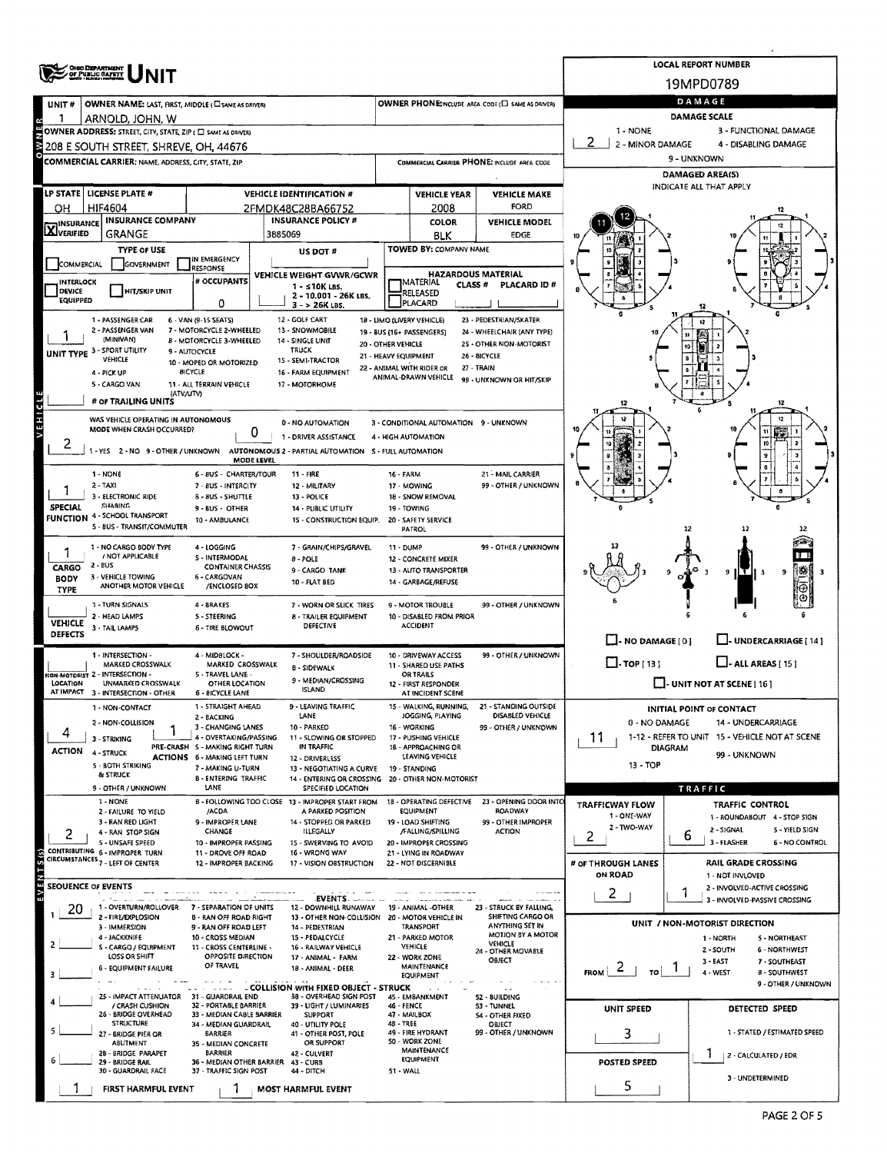| <b>ORGO DEPARTMENT</b><br>OF PUBLIC GATETY |                                                                            |                                                           |                                                                               |                                            |                                                             |                                                   |                                                   | <b>LOCAL REPORT NUMBER</b><br>19MPD0789 |                                                                      |  |  |  |  |  |
|--------------------------------------------|----------------------------------------------------------------------------|-----------------------------------------------------------|-------------------------------------------------------------------------------|--------------------------------------------|-------------------------------------------------------------|---------------------------------------------------|---------------------------------------------------|-----------------------------------------|----------------------------------------------------------------------|--|--|--|--|--|
| UNIT#                                      | OWNER NAME: LAST, FIRST, MIDDLE (CI SAME AS DRIVER)                        |                                                           |                                                                               |                                            |                                                             | OWNER PHONE:INCLUDE AREA CODE (E) SAME AS DRIVER) | DAMAGE                                            |                                         |                                                                      |  |  |  |  |  |
|                                            | ARNOLD, JOHN, W                                                            |                                                           |                                                                               |                                            |                                                             |                                                   |                                                   | <b>DAMAGE SCALE</b>                     |                                                                      |  |  |  |  |  |
|                                            | OWNER ADDRESS: STREET, CITY, STATE, ZIP ( C SAME AS DRIVER)                |                                                           |                                                                               |                                            |                                                             |                                                   | 1 - NONE                                          |                                         | 3 - FUNCTIONAL DAMAGE                                                |  |  |  |  |  |
| š                                          | 208 E SOUTH STREET, SHREVE, OH, 44676                                      |                                                           |                                                                               |                                            |                                                             |                                                   | 2<br>2 - MINOR DAMAGE                             |                                         | 4 - DISABLING DAMAGE                                                 |  |  |  |  |  |
|                                            | COMMERCIAL CARRIER; NAME, ADDRESS, CITY, STATE, ZIP                        |                                                           |                                                                               |                                            |                                                             | COMMERCIAL CARRIER PHONE: INCLUDE AREA CODE       | 9 - UNKNOWN                                       |                                         |                                                                      |  |  |  |  |  |
|                                            |                                                                            |                                                           |                                                                               |                                            |                                                             |                                                   | <b>DAMAGED AREA(S)</b><br>INDICATE ALL THAT APPLY |                                         |                                                                      |  |  |  |  |  |
|                                            | LP STATE   LICENSE PLATE #                                                 |                                                           | <b>VEHICLE IDENTIFICATION #</b>                                               |                                            | <b>VEHICLE YEAR</b>                                         | <b>VEHICLE MAKE</b>                               |                                                   |                                         |                                                                      |  |  |  |  |  |
| OН                                         | HIF4604<br><b>INSURANCE COMPANY</b>                                        |                                                           | 2FMDK48C28BA66752<br><b>INSURANCE POLICY #</b>                                |                                            | 2008<br>COLOR                                               | FORD<br><b>VEHICLE MODEL</b>                      |                                                   |                                         | 12                                                                   |  |  |  |  |  |
| <b>X</b> INSURANCE                         | GRANGE                                                                     |                                                           | 3885069                                                                       |                                            | BLK                                                         | EDGE                                              |                                                   |                                         |                                                                      |  |  |  |  |  |
|                                            | <b>TYPE OF USE</b>                                                         |                                                           | US DOT #                                                                      |                                            | TOWED BY: COMPANY NAME                                      |                                                   |                                                   |                                         |                                                                      |  |  |  |  |  |
| COMMERCIAL                                 | <b>GOVERNMENT</b>                                                          | IN EMERGENCY<br><b>RESPONSE</b>                           |                                                                               |                                            |                                                             |                                                   |                                                   |                                         |                                                                      |  |  |  |  |  |
| <b>INTERLOCK</b>                           |                                                                            | # OCCUPANTS                                               | VEHICLE WEIGHT GVWR/GCWR<br>1 - ≤10K LBS.                                     |                                            | <b>HAZARDOUS MATERIAL</b><br>MATERIAL<br>CLASS <sup>#</sup> | PLACARD ID#                                       |                                                   |                                         |                                                                      |  |  |  |  |  |
| DEVICE<br>EQUIPPED                         | <b>HIT/SKIP UNIT</b>                                                       | 0                                                         | 2 - 10.001 - 26K LBS.<br>$3 - 26K$ LBS.                                       |                                            | RELEASED<br>PLACARD                                         |                                                   |                                                   |                                         |                                                                      |  |  |  |  |  |
|                                            | 1 - PASSENGER CAR                                                          | 6 - VAN (9-15 SEATS)                                      | 12 - GOLF CART                                                                | 18 - LIMO (LIVERY VEHICLE)                 |                                                             | 23 - PEDESTRIAN/SKATER                            |                                                   |                                         |                                                                      |  |  |  |  |  |
|                                            | 2 - PASSENGER VAN<br>(MINIVAN)                                             | 7 - MOTORCYCLE 2-WHEELED                                  | 13 - SNOWMOBILE                                                               | 19 - BUS (16+ PASSENGERS)                  |                                                             | 24 - WHEELCHAIR (ANY TYPE)                        |                                                   |                                         |                                                                      |  |  |  |  |  |
| UNIT TYPE 3 - SPORT UTILITY                |                                                                            | 8 - MOTORCYCLE 3-WHEELED<br>9 - AUTOCYCLE                 | 14 - SINGLE UNIT<br><b>TRUCK</b>                                              | 20 - OTHER VEHICLE<br>21 - HEAVY EQUIPMENT |                                                             | 2S - OTHER NON-MOTORIST<br>26 - BICYCLE           |                                                   |                                         |                                                                      |  |  |  |  |  |
|                                            | VEHICLE<br>4 - PICK UP                                                     | 10 - MOPED OR MOTORIZED<br>BICYCLE                        | 15 - SEMI-TRACTOR<br>16 - FARM EQUIPMENT                                      | 22 - ANIMAL WITH RIDER OR                  |                                                             | 27 - TRAIN                                        |                                                   |                                         |                                                                      |  |  |  |  |  |
|                                            | 5 - CARGO VAN                                                              | 11 - ALL TERRAIN VEHICLE                                  | 17 - MOTORHOME                                                                |                                            | ANIMAL-DRAWN VEHICLE                                        | 99 - UNKNOWN OR HIT/SKIP                          |                                                   |                                         |                                                                      |  |  |  |  |  |
|                                            | (ATV/UTV)<br># OF TRAILING UNITS                                           |                                                           |                                                                               |                                            |                                                             |                                                   |                                                   |                                         |                                                                      |  |  |  |  |  |
| EHICL                                      | WAS VEHICLE OPERATING IN AUTONOMOUS                                        |                                                           | 0 - NO AUTOMATION                                                             |                                            | 3 - CONDITIONAL AUTOMATION 9 - UNKNOWN                      |                                                   |                                                   |                                         |                                                                      |  |  |  |  |  |
|                                            | MODE WHEN CRASH OCCURRED?                                                  | 0                                                         | 1 - DRIVER ASSISTANCE                                                         | 4 - HIGH AUTOMATION                        |                                                             |                                                   |                                                   |                                         |                                                                      |  |  |  |  |  |
|                                            | 1-YES 2-NO 9-OTHER / UNKNOWN                                               |                                                           | AUTONOMOUS 2 - PARTIAL AUTOMATION S - FULL AUTOMATION                         |                                            |                                                             |                                                   |                                                   |                                         |                                                                      |  |  |  |  |  |
|                                            |                                                                            | MODE LEVEL                                                |                                                                               |                                            |                                                             |                                                   |                                                   |                                         |                                                                      |  |  |  |  |  |
|                                            | 1 - NONE<br>2 - TAXI                                                       | 6 - 8US - CHARTER/TOUR<br>7 - BUS - INTERCITY             | $11 - FIRE$<br>12 - MILITARY                                                  | <b>16 - FARM</b>                           | 17 - MOWING                                                 | 21 - MAIL CARRIER<br>99 - OTHER / UNKNOWN         |                                                   |                                         |                                                                      |  |  |  |  |  |
|                                            | 3 - ELECTRONIC RIDE<br>SHARING                                             | 8 - 8US - SHUTTLE                                         | 13 - POLICE                                                                   |                                            | 18 - SNOW REMOVAL                                           |                                                   |                                                   |                                         |                                                                      |  |  |  |  |  |
| SPECIAL                                    | <b>FUNCTION 4 - SCHOOL TRANSPORT</b>                                       | $9 - 8US - OTHER$<br>10 - AMBULANCE                       | 14 - PUBLIC UTILITY<br>15 - CONSTRUCTION EQUIP.                               |                                            | 19 - TOWING<br>20 - SAFETY SERVICE                          |                                                   |                                                   |                                         |                                                                      |  |  |  |  |  |
|                                            | 5 - 8US - TRANSIT/COMMUTER                                                 |                                                           |                                                                               |                                            | PATROL                                                      |                                                   |                                                   | 12                                      | 12                                                                   |  |  |  |  |  |
| 7                                          | 1 - NO CARGO BODY TYPE                                                     | 4 - LOGGING                                               | 7 - GRAIN/CHIPS/GRAVEL                                                        | 11 - DUMP                                  |                                                             | 99 - OTHER / UNKNOWN                              |                                                   |                                         |                                                                      |  |  |  |  |  |
| CARGO                                      | / NOT APPLICABLE<br>$2 - BUS$                                              | 5 - INTERMODAL<br><b>CONTAINER CHASSIS</b>                | 8 - POLE<br>9-CARGO TANK                                                      |                                            | 12 - CONCRETE MIXER<br>13 - AUTO TRANSPORTER                |                                                   |                                                   |                                         | 糨<br>э<br>9 I                                                        |  |  |  |  |  |
| <b>BODY</b>                                | 3 - VEHICLE TOWING<br>ANOTHER MOTOR VEHICLE                                | 6 - CARGOVAN<br>/ENCLOSED BOX                             | 10 - FLAT BED                                                                 |                                            | 14 - GARBAGE/REFUSE                                         |                                                   |                                                   |                                         |                                                                      |  |  |  |  |  |
| TYPE                                       | 1 - TURN SIGNALS                                                           | 4 - BRAKES                                                | 7 - WORN OR SLICK TIRES                                                       |                                            | 9 - MOTOR TROUBLE                                           | 99 - OTHER / UNKNOWN                              |                                                   |                                         |                                                                      |  |  |  |  |  |
|                                            | 2 - HEAD LAMPS                                                             | <b>S-STEERING</b>                                         | <b>8 - TRAILER EQUIPMENT</b>                                                  |                                            | 10 - DISABLED FROM PRIOR                                    |                                                   |                                                   |                                         |                                                                      |  |  |  |  |  |
| <b>VEHICLE</b><br><b>DEFECTS</b>           | 3 - TAIL LAMPS                                                             | 6 - TIRE BLOWOUT                                          | DEFECTIVE                                                                     |                                            | <b>ACCIDENT</b>                                             |                                                   |                                                   |                                         |                                                                      |  |  |  |  |  |
|                                            | 1 - INTERSECTION -                                                         | 4 - MIDBLOCK -                                            |                                                                               |                                            | 10 - DRIVEWAY ACCESS                                        | 99 - OTHER / UNKNOWN                              | $\Box$ - NO DAMAGE [ 0 ]                          |                                         | L. UNDERCARRIAGE [ 14 ]                                              |  |  |  |  |  |
|                                            | MARKED CROSSWALK                                                           | MARKED CROSSWALK                                          | 7 - SHOULDER/ROADSIDE<br><b>B SIDEWALK</b>                                    |                                            | 11 - SHARED USE PATHS                                       |                                                   | $\Box$ -TOP[13]                                   |                                         | $\Box$ - ALL AREAS [ 15 ]                                            |  |  |  |  |  |
| LOCATION                                   | NON-MOTORIST 2 - INTERSECTION -<br>UNMARKED CROSSWALK                      | 5 - TRAVEL LANE -<br>OTHER LOCATION                       | 9 - MEDIAN/CROSSING                                                           |                                            | OR TRAILS<br>12 - FIRST RESPONDER                           |                                                   |                                                   | $\Box$ - UNIT NOT AT SCENE [ 16 ]       |                                                                      |  |  |  |  |  |
|                                            | AT IMPACT 3 - INTERSECTION - OTHER                                         | <b>6 - BICYCLE LANE</b>                                   | <b>ISLAND</b>                                                                 |                                            | AT INCIDENT SCENE                                           |                                                   |                                                   |                                         |                                                                      |  |  |  |  |  |
|                                            | 1 - NON-CONTACT                                                            | 1 - STRAIGHT AHEAD<br>2 - BACKING                         | 9 - LEAVING TRAFFIC<br>LANE                                                   |                                            | 15 - WALKING, RUNNING,<br>JOGGING, PLAYING                  | 21 - STANDING OUTSIDE<br>DISABLED VEHICLE         |                                                   | INITIAL POINT OF CONTACT                |                                                                      |  |  |  |  |  |
| 4                                          | 2 - NON-COLLISION                                                          | 3 - CHANGING LANES                                        | 10 - PARKED<br>11 - SLOWING OR STOPPED                                        |                                            | 16 - WORKING<br>17 - PUSHING VEHICLE                        | 99 - OTHER / UNKNOWN                              | 0 - NO DAMAGE                                     |                                         | 14 - UNDERCARRIAGE<br>1-12 - REFER TO UNIT 15 - VEHICLE NOT AT SCENE |  |  |  |  |  |
| <b>ACTION</b>                              | 3 - STRIKING<br><b>4 - STRUCK</b>                                          | 4 - OVERTAKING/PASSING<br>PRE-CRASH 5 - MAKING RIGHT TURN | IN TRAFFIC                                                                    |                                            | 18 - APPROACHING OR                                         |                                                   | 11                                                | <b>DIAGRAM</b>                          |                                                                      |  |  |  |  |  |
|                                            | 5 - BOTH STRIKING                                                          | ACTIONS 6 - MAKING LEFT TURN<br>7 - MAKING U-TURN         | 12 - DRIVERLESS<br>13 - NEGOTIATING A CURVE                                   |                                            | LEAVING VEHICLE<br>19 - STANDING                            |                                                   | 13 - TOP                                          |                                         | 99 - UNKNOWN                                                         |  |  |  |  |  |
|                                            | & STRUCK                                                                   | <b>8 - ENTERING TRAFFIC</b>                               | 14 - ENTERING OR CROSSING 20 - OTHER NON-MOTORIST                             |                                            |                                                             |                                                   |                                                   |                                         |                                                                      |  |  |  |  |  |
|                                            | 9 - OTHER / UNKNOWN<br>1 - NONE                                            | LANE                                                      | <b>SPECIFIED LOCATION</b><br>B - FOLLOWING TOO CLOSE 13 - IMPROPER START FROM |                                            | 18 - OPERATING DEFECTIVE                                    | 23 - OPENING DOOR INTO                            |                                                   | TRAFFIC                                 |                                                                      |  |  |  |  |  |
|                                            | 2 - FAILURE TO YIELD                                                       | /ACDA                                                     | A PARKED POSITION                                                             |                                            | EQUIPMENT                                                   | ROADWAY                                           | <b>TRAFFICWAY FLOW</b><br>1 - ONE-WAY             |                                         | <b>TRAFFIC CONTROL</b><br>1 - ROUNDABOUT 4 - STOP SIGN               |  |  |  |  |  |
| 2                                          | 3 - RAN RED LIGHT<br>4 - RAN STOP SIGN                                     | 9 - IMPROPER LANE<br>CHANGE                               | 14 - STOPPED OR PARKED<br>ILLEGALLY                                           |                                            | 19 - LOAD SHIFTING<br>/FALLING/SPILLING                     | 99 - OTHER IMPROPER<br><b>ACTION</b>              | 2 - TWO-WAY                                       | 2 - SIGNAL                              | 5 - YIELD SIGN                                                       |  |  |  |  |  |
|                                            | 5 - UNSAFE SPEED<br>CONTRIBUTING 6 - IMPROPER TURN                         | 10 - IMPROPER PASSING                                     | 15 - SWERVING TO AVOID                                                        |                                            | 20 - IMPROPER CROSSING                                      |                                                   | 2                                                 | ь<br>3 - FLASHER                        | <b>6 - NO CONTROL</b>                                                |  |  |  |  |  |
|                                            | CIRCUMSTANCES <sub>7 - LEFT OF CENTER</sub>                                | 11 - DROVE OFF ROAD<br>12 - IMPROPER BACKING              | 16 - WRONG WAY<br>17 - VISION OBSTRUCTION                                     |                                            | 21 - LYING IN ROADWAY<br>22 - NOT DISCERNIBLE               |                                                   | # OF THROUGH LANES                                |                                         | <b>RAIL GRADE CROSSING</b>                                           |  |  |  |  |  |
|                                            |                                                                            |                                                           |                                                                               |                                            |                                                             |                                                   | <b>ON ROAD</b>                                    |                                         | 1 - NOT INVLOVED                                                     |  |  |  |  |  |
| SEOUENCE OF EVENTS                         |                                                                            |                                                           |                                                                               |                                            |                                                             |                                                   | 2                                                 |                                         | 2 - INVOLVED-ACTIVE CROSSING<br>3 - INVOLVED-PASSIVE CROSSING        |  |  |  |  |  |
| 20                                         | 1 - OVERTURN/ROLLOVER<br>2 - FIRE/EXPLOSION                                | 7 - SEPARATION OF UNITS<br><b>8 - RAN OFF ROAD RIGHT</b>  | 12 - DOWNHILL RUNAWAY<br>13 - OTHER NON-COLLISION 20 - MOTOR VEHICLE IN       |                                            | 19 - ANIMAL -OTHER                                          | 23 - STRUCK BY FALLING,<br>SHIFTING CARGO OR      |                                                   |                                         |                                                                      |  |  |  |  |  |
|                                            | 3 - IMMERSION                                                              | 9 - RAN OFF ROAD LEFT                                     | 14 - PEDESTRIAN                                                               |                                            | <b>TRANSPORT</b>                                            | ANYTHING SET IN<br>MOTION BY A MOTOR              |                                                   | UNIT / NON-MOTORIST DIRECTION           |                                                                      |  |  |  |  |  |
| 2                                          | 4 - JACKKNIFE<br>S - CARGO / EQUIPMENT                                     | 10 - CROSS MEDIAN<br>11 - CROSS CENTERLINE -              | 15 - PEDAI CYCLE<br>16 - RAILWAY VEHICLE                                      |                                            | 21 - PARKED MOTOR<br>VEHICLE                                | <b>VEHICLE</b><br>24 - OTHER MOVABLE              |                                                   | 1 - NORTH<br>2 - SOUTH                  | <b>S - NORTHEAST</b><br><b>6 - NORTHWEST</b>                         |  |  |  |  |  |
|                                            | LOSS OR SHIFT                                                              | <b>OPPOSITE DIRECTION</b><br>OF TRAVEL                    | 17 - ANIMAL - FARM                                                            |                                            | 22 - WORK ZONE<br><b>MAINTENANCE</b>                        | OBJECT                                            |                                                   | $3 - FAST$                              | 7 - SOUTHEAST                                                        |  |  |  |  |  |
| 3                                          | 6 - EQUIPMENT FAILURE                                                      |                                                           | 18 - ANIMAL - DEER                                                            |                                            | <b>EQUIPMENT</b>                                            |                                                   | $\epsilon$<br><b>FROM</b><br>TO                   | 4 - WEST                                | <b>8 - SOUTHWEST</b>                                                 |  |  |  |  |  |
|                                            | $\mathbf{A}$ and $\mathbf{A}$<br>25 - IMPACT ATTENUATOR 31 - GUARDRAIL END | <b>School School</b>                                      | - COLLISION WITH FIXED OBJECT - STRUCK<br>38 - OVERHEAD SIGN POST             |                                            | 45 - EMBANKMENT                                             | 52 - 8UILDING                                     |                                                   |                                         | 9 - OTHER / UNKNOWN                                                  |  |  |  |  |  |
|                                            | / CRASH CUSHION<br>26 - BRIDGE OVERHEAD                                    | 32 - PORTABLE BARRIER<br>33 - MEDIAN CABLE BARRIER        | 39 - LIGHT / LUMINARIES<br><b>SUPPORT</b>                                     | <b>46 - FENCE</b>                          | 47 - MAILBOX                                                | 53 - TUNNEL<br><b>S4 - OTHER FIXED</b>            | UNIT SPEED                                        |                                         | DETECTED SPEED                                                       |  |  |  |  |  |
|                                            | <b>STRUCTURE</b>                                                           | 34 - MEDIAN GUARDRAIL                                     | 40 - UTILITY POLE                                                             | 4B-TREE                                    |                                                             | OBJECT                                            |                                                   |                                         |                                                                      |  |  |  |  |  |
|                                            | 27 - BRIDGE PIER OR<br>ABUTMENT                                            | <b>BARRIER</b><br>35 - MEDIAN CONCRETE                    | 41 - OTHER POST, POLE<br>OR SUPPORT                                           |                                            | 49 - FIRE HYDRANT<br>50 - WORK ZONE                         | 99 - OTHER / UNKNOWN                              | 3                                                 |                                         | 1 - STATED / ESTIMATED SPEED                                         |  |  |  |  |  |
|                                            | 28 - BRIDGE PARAPET<br>29 - BRIDGE RAIL                                    | <b>BARRIER</b>                                            | 42 - CULVERT<br>36 - MEDIAN OTHER BARRIER 43 - CURS                           |                                            | MAINTENANCE<br><b>EQUIPMENT</b>                             |                                                   | POSTED SPEED                                      | $\pm$                                   | 2 - CALCULATED / EDR                                                 |  |  |  |  |  |
|                                            | 30 - GUARDRAIL FACE                                                        | 37 - TRAFFIC SIGN POST                                    | 44 - DITCH                                                                    | 51 - WALL                                  |                                                             |                                                   |                                                   |                                         | 3 - UNDETERMINED                                                     |  |  |  |  |  |
|                                            | FIRST HARMFUL EVENT                                                        |                                                           | <b>MOST HARMFUL EVENT</b>                                                     |                                            |                                                             |                                                   | 5                                                 |                                         |                                                                      |  |  |  |  |  |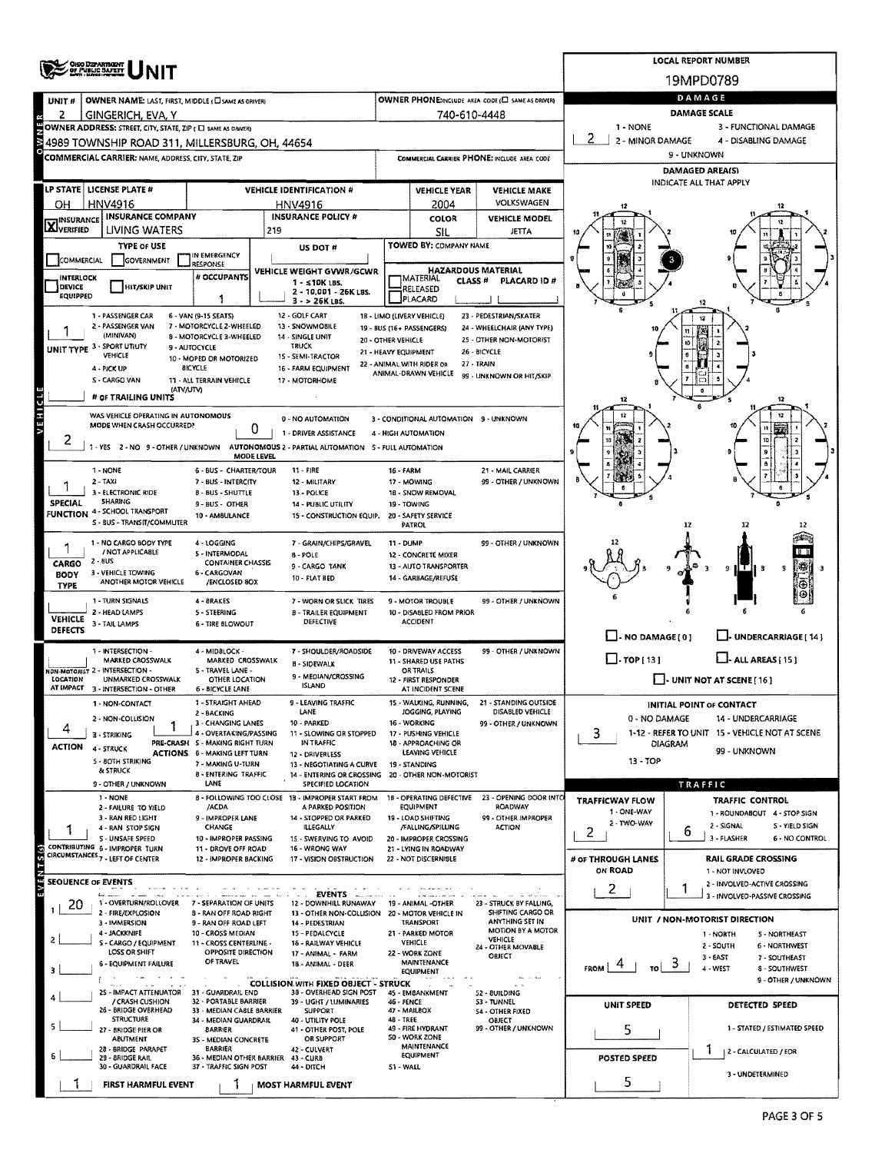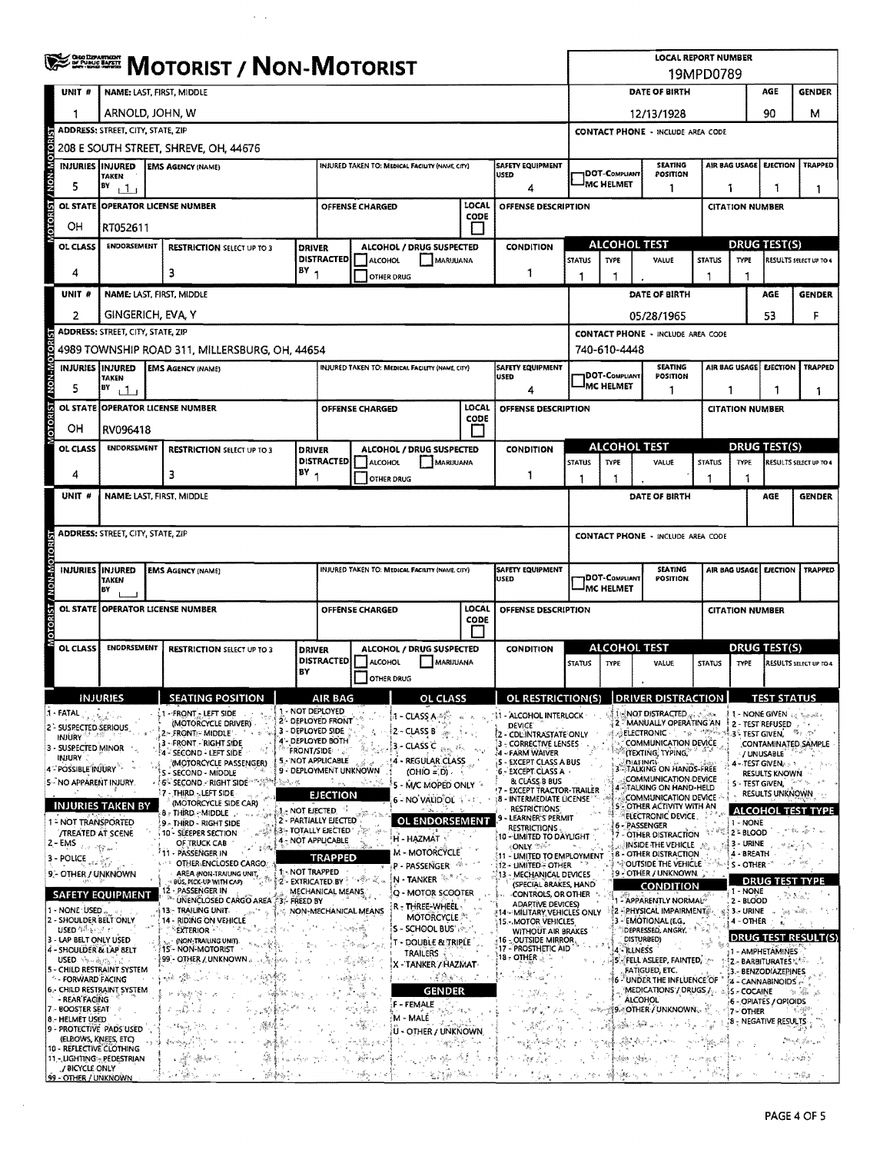| <b>WERE MOTORIST / NON-MOTORIST</b>                         |                                     |                                          |                                   |                                                                             |      |                                                                         |                                                                                | <b>LOCAL REPORT NUMBER</b>                  |                 |                                                                                 |                                                 |                  |                                                                               |                                                                      |                                     |                           |                                                                             |                    |                                  |                                                      |                                                                                               |  |
|-------------------------------------------------------------|-------------------------------------|------------------------------------------|-----------------------------------|-----------------------------------------------------------------------------|------|-------------------------------------------------------------------------|--------------------------------------------------------------------------------|---------------------------------------------|-----------------|---------------------------------------------------------------------------------|-------------------------------------------------|------------------|-------------------------------------------------------------------------------|----------------------------------------------------------------------|-------------------------------------|---------------------------|-----------------------------------------------------------------------------|--------------------|----------------------------------|------------------------------------------------------|-----------------------------------------------------------------------------------------------|--|
|                                                             | UNIT #<br>NAME: LAST, FIRST, MIDDLE |                                          |                                   |                                                                             |      |                                                                         |                                                                                |                                             |                 | 19MPD0789<br>DATE OF BIRTH<br>AGE<br><b>GENDER</b>                              |                                                 |                  |                                                                               |                                                                      |                                     |                           |                                                                             |                    |                                  |                                                      |                                                                                               |  |
|                                                             |                                     | ARNOLD, JOHN, W                          |                                   |                                                                             |      |                                                                         |                                                                                |                                             |                 |                                                                                 |                                                 |                  | 12/13/1928                                                                    |                                                                      |                                     |                           |                                                                             |                    |                                  | м                                                    |                                                                                               |  |
|                                                             |                                     | <b>ADDRESS: STREET, CITY, STATE, ZIP</b> |                                   |                                                                             |      |                                                                         |                                                                                |                                             |                 |                                                                                 |                                                 |                  | 90<br><b>CONTACT PHONE - INCLUDE AREA CODE</b>                                |                                                                      |                                     |                           |                                                                             |                    |                                  |                                                      |                                                                                               |  |
|                                                             |                                     | 208 E SOUTH STREET, SHREVE, OH, 44676    |                                   |                                                                             |      |                                                                         |                                                                                |                                             |                 |                                                                                 |                                                 |                  |                                                                               |                                                                      |                                     |                           |                                                                             |                    |                                  |                                                      |                                                                                               |  |
|                                                             |                                     | INJURIES INJURED<br><b>TAKEN</b>         |                                   | <b>EMS AGENCY (NAME)</b>                                                    |      |                                                                         |                                                                                |                                             |                 | INJURED TAKEN TO: MEDICAL FACILITY (NAME, CITY)                                 |                                                 | <b>USED</b>      | SAFETY EQUIPMENT                                                              |                                                                      | DOT-COMPUANT                        |                           | <b>SEATING</b><br>POSITION                                                  |                    | AIR BAG USAGE                    | <b>EJECTION</b>                                      | <b>TRAPPED</b>                                                                                |  |
| 5                                                           | BY                                  | 11                                       |                                   |                                                                             |      |                                                                         |                                                                                |                                             |                 |                                                                                 |                                                 |                  | 4                                                                             |                                                                      | MC HELMET                           |                           | 1                                                                           |                    | 1<br>1                           |                                                      |                                                                                               |  |
| OTORIST / NON-MOTOR<br><b>OL STATE</b>                      |                                     |                                          | <b>OPERATOR LICENSE NUMBER</b>    |                                                                             |      |                                                                         |                                                                                |                                             | OFFENSE CHARGED |                                                                                 | LOCAL                                           |                  | OFFENSE DESCRIPTION                                                           |                                                                      |                                     |                           |                                                                             |                    |                                  | <b>CITATION NUMBER</b>                               |                                                                                               |  |
| OН                                                          |                                     | RT052611                                 |                                   |                                                                             |      |                                                                         | CODE<br>$\mathsf{I}$                                                           |                                             |                 |                                                                                 |                                                 |                  |                                                                               |                                                                      |                                     |                           |                                                                             |                    |                                  |                                                      |                                                                                               |  |
| OL CLASS                                                    |                                     | <b>ENDORSEMENT</b>                       | <b>RESTRICTION SELECT UP TO 3</b> |                                                                             |      | DRIVER                                                                  | <b>ALCOHOL / DRUG SUSPECTED</b>                                                |                                             |                 |                                                                                 |                                                 | <b>CONDITION</b> | <b>ALCOHOL TEST</b>                                                           |                                                                      |                                     |                           | <b>DRUG TEST(S)</b>                                                         |                    |                                  |                                                      |                                                                                               |  |
| 4                                                           |                                     |                                          |                                   | 3                                                                           |      | $BY_1$                                                                  | <b>DISTRACTED</b>                                                              | <b>ALCOHOL</b>                              | OTHER DRUG      | MARIJUANA                                                                       |                                                 |                  | 1                                                                             | <b>STATUS</b><br>1                                                   | <b>TYPE</b><br>1                    |                           | VALUE                                                                       | <b>STATUS</b><br>٦ | <b>TYPE</b><br>1                 |                                                      | RESULTS SELECT UP TO 4                                                                        |  |
| UNIT #                                                      |                                     |                                          |                                   | <b>NAME: LAST, FIRST, MIDDLE</b>                                            |      |                                                                         |                                                                                |                                             |                 |                                                                                 |                                                 |                  |                                                                               |                                                                      |                                     |                           | DATE OF BIRTH                                                               |                    |                                  | AGE                                                  | <b>GENDER</b>                                                                                 |  |
| 2                                                           |                                     | GINGERICH, EVA, Y                        |                                   |                                                                             |      |                                                                         |                                                                                |                                             |                 |                                                                                 |                                                 |                  |                                                                               |                                                                      |                                     |                           | 05/28/1965                                                                  |                    |                                  | 53                                                   | F                                                                                             |  |
|                                                             |                                     | <b>ADDRESS: STREET, CITY, STATE, ZIP</b> |                                   |                                                                             |      |                                                                         |                                                                                |                                             |                 |                                                                                 |                                                 |                  |                                                                               |                                                                      |                                     |                           | <b>CONTACT PHONE - INCLUDE AREA CODE</b>                                    |                    |                                  |                                                      |                                                                                               |  |
| <b>OTORIST / NON-MOTORIST</b>                               |                                     |                                          |                                   | 4989 TOWNSHIP ROAD 311, MILLERSBURG, OH, 44654                              |      |                                                                         |                                                                                |                                             |                 |                                                                                 |                                                 |                  |                                                                               |                                                                      | 740-610-4448                        |                           |                                                                             |                    |                                  |                                                      |                                                                                               |  |
|                                                             |                                     | <b>INJURIES IINJURED</b><br><b>TAKEN</b> |                                   | <b>EMS AGENCY (NAME)</b>                                                    |      |                                                                         |                                                                                |                                             |                 | <b>INJURED TAKEN TO: MEDICAL FACILITY (NAME, CITY)</b>                          |                                                 | USED             | <b>SAFETY EQUIPMENT</b>                                                       |                                                                      | <b>JDOT-COMPLIANT</b>               |                           | <b>SEATING</b><br><b>POSITION</b>                                           |                    | AIR BAG USAGE                    | <b>EJECTION</b>                                      | <b>TRAPPED</b>                                                                                |  |
| 5                                                           | BY                                  | 111                                      |                                   |                                                                             |      |                                                                         |                                                                                |                                             |                 |                                                                                 |                                                 |                  |                                                                               |                                                                      | MC HELMET                           |                           | 1                                                                           |                    | 1                                |                                                      | 1                                                                                             |  |
|                                                             |                                     |                                          |                                   | OL STATE OPERATOR LICENSE NUMBER                                            |      |                                                                         |                                                                                | OFFENSE CHARGED                             |                 |                                                                                 | LOCAL<br>CODE                                   |                  | <b>OFFENSE DESCRIPTION</b>                                                    |                                                                      |                                     |                           |                                                                             |                    | <b>CITATION NUMBER</b>           |                                                      |                                                                                               |  |
| он                                                          |                                     | RV096418                                 |                                   |                                                                             |      |                                                                         |                                                                                |                                             |                 |                                                                                 |                                                 |                  |                                                                               |                                                                      |                                     |                           |                                                                             |                    |                                  |                                                      |                                                                                               |  |
| OL CLASS                                                    |                                     | <b>ENDORSEMENT</b>                       |                                   | <b>RESTRICTION SELECT UP TO 3</b>                                           |      |                                                                         | ALCOHOL / DRUG SUSPECTED<br><b>DRIVER</b><br><b>CONDITION</b>                  |                                             |                 |                                                                                 |                                                 |                  | ALCOHOL TEST                                                                  |                                                                      |                                     |                           | <b>DRUG TEST(S)</b>                                                         |                    |                                  |                                                      |                                                                                               |  |
| 4                                                           |                                     | 3                                        |                                   |                                                                             |      | <b>DISTRACTED</b><br>ALCOHOL<br>MARUUANA<br>$BY_1$<br><b>OTHER DRUG</b> |                                                                                |                                             |                 | 1                                                                               | <b>STATUS</b><br><b>TYPE</b><br>VALUE<br>1<br>1 |                  |                                                                               | <b>STATUS</b><br>1                                                   | TYPE<br>RESULTS SELECT UP TO 4<br>1 |                           |                                                                             |                    |                                  |                                                      |                                                                                               |  |
| UNIT #                                                      |                                     |                                          |                                   | NAME: LAST, FIRST, MIDDLE                                                   |      |                                                                         |                                                                                |                                             |                 |                                                                                 |                                                 |                  |                                                                               |                                                                      |                                     |                           | DATE OF BIRTH                                                               |                    |                                  | AGE                                                  | <b>GENDER</b>                                                                                 |  |
|                                                             |                                     |                                          |                                   |                                                                             |      |                                                                         |                                                                                |                                             |                 |                                                                                 |                                                 |                  |                                                                               |                                                                      |                                     |                           |                                                                             |                    |                                  |                                                      |                                                                                               |  |
|                                                             |                                     | <b>ADDRESS: STREET, CITY, STATE, ZIP</b> |                                   |                                                                             |      |                                                                         |                                                                                |                                             |                 |                                                                                 |                                                 |                  |                                                                               | <b>CONTACT PHONE - INCLUDE AREA CODE</b>                             |                                     |                           |                                                                             |                    |                                  |                                                      |                                                                                               |  |
|                                                             |                                     |                                          |                                   |                                                                             |      |                                                                         |                                                                                |                                             |                 |                                                                                 |                                                 |                  |                                                                               |                                                                      |                                     |                           |                                                                             |                    |                                  |                                                      |                                                                                               |  |
|                                                             |                                     | INJURIES INJURED<br>TAKEN                |                                   | <b>EMS AGENCY (NAME)</b>                                                    |      |                                                                         |                                                                                |                                             |                 | INJURED TAKEN TO: MEDICAL FACILITY (NAME, CITY)                                 |                                                 | USED             | <b>SAFETY EQUIPMENT</b>                                                       | <b>SEATING</b><br>AIR BAG USAGE<br>100T-COMPLIANT<br><b>POSITION</b> |                                     |                           |                                                                             |                    | <b>EJECTION</b>                  | <b>TRAPPED</b>                                       |                                                                                               |  |
|                                                             | B٧                                  |                                          |                                   |                                                                             |      |                                                                         |                                                                                |                                             |                 |                                                                                 |                                                 |                  |                                                                               | MC HELMET                                                            |                                     |                           |                                                                             |                    |                                  |                                                      |                                                                                               |  |
| OTORIST / NON-MOTORIST                                      |                                     |                                          |                                   | OL STATE OPERATOR LICENSE NUMBER                                            |      |                                                                         |                                                                                | OFFENSE CHARGED                             |                 |                                                                                 | LOCAL<br>CODE                                   |                  | OFFENSE DESCRIPTION                                                           |                                                                      |                                     |                           |                                                                             |                    |                                  | <b>CITATION NUMBER</b>                               |                                                                                               |  |
| OL CLASS                                                    |                                     | <b>ENDDRSEMENT</b>                       |                                   |                                                                             |      |                                                                         |                                                                                |                                             |                 |                                                                                 |                                                 |                  |                                                                               | <b>ALCOHOL TEST</b>                                                  |                                     |                           |                                                                             |                    | <b>DRUG TEST(S)</b>              |                                                      |                                                                                               |  |
|                                                             |                                     |                                          |                                   | <b>RESTRICTION SELECT UP TO 3</b>                                           |      |                                                                         | ALCOHOL / DRUG SUSPECTED<br>DRIVER<br><b>DISTRACTED</b><br>ALCOHOL<br>MARUUANA |                                             |                 |                                                                                 | <b>CONDITION</b>                                | <b>STATUS</b>    | TYPE                                                                          |                                                                      | VALUE                               | <b>STATUS</b>             | TYPE                                                                        |                    | RESULTS SELECT UP TO 4           |                                                      |                                                                                               |  |
|                                                             |                                     |                                          |                                   |                                                                             |      | B٧                                                                      |                                                                                |                                             | OTHER DRUG      |                                                                                 |                                                 |                  |                                                                               |                                                                      |                                     |                           |                                                                             |                    |                                  |                                                      |                                                                                               |  |
|                                                             | <b>INJURIES</b>                     |                                          |                                   | <b>SEATING POSITION</b>                                                     |      |                                                                         | <b>AIR BAG</b>                                                                 |                                             |                 | <b>OL CLASS</b>                                                                 |                                                 |                  | OL RESTRICTION(S) DRIVER DISTRACTION                                          |                                                                      |                                     |                           |                                                                             |                    |                                  | <b>TEST STATUS</b>                                   |                                                                                               |  |
| 1 - FATAL<br>2 <sup>1</sup> SUSPECTED SERIOUS               |                                     |                                          |                                   | - FRONT - LEFT SIDE<br>(MOTORCYCLE DRIVER)                                  |      |                                                                         | 1 - NOT DEPLOYED<br>2- DEPLOYED FRONT<br>3 - DEPLOYED SIDE                     |                                             |                 | 4 - CLASS A.吟<br>2 - CLASS B                                                    |                                                 |                  | 11 - ALCOHOL INTERLOCK<br><b>DEVICE</b>                                       |                                                                      |                                     |                           | NOT DISTRACTED<br>2. MANUALLY OPERATING AN                                  |                    |                                  | 1 - NONE GIVEN and the state<br>2 - TEST REFUSED     |                                                                                               |  |
| <b>INJURY</b><br>3 - SUSPECTED MINOR                        | -868                                |                                          |                                   | ! » FRONT := MIDDLE"<br>3 - FRONT - RIGHT SIDE<br>4 - SECOND - LEFT SIDE    |      | <b>FRONT/SIDE</b>                                                       | 4 - DEPLOYED BOTH                                                              |                                             |                 | $3 - CLASSC$                                                                    |                                                 |                  | (2 - CDL)NTRASTATE ONLY<br>3 - CORRECTIVE LENSES                              |                                                                      |                                     |                           | <sub>S</sub> ELECTRONIC and a strategies<br><b>COMMUNICATION DEVICE</b>     |                    |                                  | <b>3 - TEST GIVEN,</b>                               | ొన్నా గ్రా<br>CONTAMINATED SAMPLE                                                             |  |
| INJURY<br>4 POSSIBLE INJURY                                 |                                     |                                          |                                   | (MOTORCYCLE PASSENGER)                                                      |      |                                                                         | 5 - NOT APPLICABLE<br>9 - DEPLOYMENT UNKNOWN                                   |                                             |                 | 4 - REGULAR CLASS<br>$(OHIO = D)$ .                                             |                                                 |                  | 4 - FARM WAIVER<br>S - EXCEPT CLASS A BUS<br>6 - EXCEPT CLASS A               |                                                                      |                                     | <b>MALINGL</b>            | <b>ITEXTING, TYPING,"</b><br>3 TALKING ON HANDS-FREE                        |                    |                                  | / UNUSABLE<br>$-$ TEST GIVEN $_{2}$ : $\pi$          |                                                                                               |  |
| 5 - NO APPARENT INJURY                                      |                                     |                                          |                                   | S - SECOND - MIDDLE<br>- ∤6≒ SECOND - RIGHT SIDE "<br>7 - THIRD - LEFT SIDE |      |                                                                         | Allenya                                                                        | 计人名利格                                       |                 | 5 - M/C MOPED ONLY                                                              |                                                 |                  | & CLASS B BUS<br>- EXCEPT TRACTOR-TRAILER                                     |                                                                      |                                     |                           | <b>COMMUNICATION DEVICE</b><br>4 - TALKING ON HAND-HELD                     |                    |                                  | <b>RESULTS KNOWN.</b><br>S - TEST GIVEN,             |                                                                                               |  |
|                                                             |                                     | <b>INJURIES TAKEN BY</b>                 |                                   | (MOTORCYCLE SIDE CAR)<br>8 - THIRD - MIDDLE                                 |      |                                                                         | <b>EJECTION</b><br>$1$ , not eiected, $-1$                                     |                                             |                 | 6 - NO VALIDIOLET                                                               |                                                 |                  | 8 - INTERMEDIATE LICENSE<br><b>RESTRICTIONS</b>                               |                                                                      |                                     |                           | COMMUNICATION DEVICE<br>5 - OTHER ACTIVITY WITH AN                          |                    |                                  | RESULTS UNKNOWN                                      | <b>ALCOHOL TEST TYPE</b>                                                                      |  |
| 1 - NOT TRANSPORTED<br><b>TREATED AT SCENE</b>              |                                     |                                          |                                   | 9 - THIRD - RIGHT SIDE<br>10 - SLEEPER SECTION                              |      |                                                                         | 2 - PARTIALLY EJECTED<br><b>ST-TOTALLY EJECTED</b> 1 (3)                       |                                             |                 | <b>OL ENDORSEMENT</b>                                                           |                                                 |                  | - LEARNER'S PERMIT<br><b>RESTRICTIONS</b>                                     |                                                                      |                                     |                           | ELECTRONIC DEVICE.<br>6 - PASSENGER                                         |                    | 1 - NONE<br>2 <sup>%</sup> BLOOD |                                                      |                                                                                               |  |
| 2 - EMS                                                     |                                     |                                          |                                   | OF TRUCK CAB<br>11 - PASSENGER IN                                           |      |                                                                         | 4 - NOT APPLICABLE                                                             |                                             |                 | H - HAZMAT<br>M - MOTORCYCLE                                                    |                                                 |                  | 10 - LIMITED TO DAYLIGHT<br>«ONLY *****                                       |                                                                      |                                     |                           | 7 - OTHER DISTRACTION<br>INSIDE THE VEHICLE<br><b>8 - OTHER DISTRACTION</b> |                    | 3 - URINE<br>4 - BREATH          |                                                      |                                                                                               |  |
| 3 - POLICE<br>9 - OTHER / UNKNOWN                           |                                     |                                          |                                   | OTHER ENCLOSED CARGO<br>AREA (NON-TRAIUNG UNIT,                             |      | 1-NOT TRAPPED                                                           | <b>TRAPPED</b>                                                                 |                                             |                 | P - PASSENGER                                                                   |                                                 |                  | <b>11 - UMITED TO EMPLOYMENT</b><br><b>12 - LIMITED - OTHER</b>               |                                                                      |                                     |                           | <b>SOUTSIDE THE VEHICLE</b><br>9 - OTHER / UNKNOWN.                         |                    | $3-15 -$ OTHER $-$               |                                                      | ent,                                                                                          |  |
|                                                             |                                     | <b>SAFETY EQUIPMENT</b>                  |                                   | <b>BUS, PICK-UP WITH CAP)</b><br>12 - PASSENGER IN                          |      |                                                                         | MECHANICAL MEANS                                                               | 2 - EXTRICATED.BY <sup>27</sup> - 200 x 200 |                 | $\mathsf{N}\cdot\mathsf{TANKER} \cong \mathbb{Z}^{\times}$<br>Q - MOTOR SCOOTER |                                                 |                  | <b>13 - MECHANICAL DEVICES</b><br>(SPECIAL BRAKES, HAND<br>CONTROLS, OR OTHER |                                                                      |                                     |                           | <b>CONDITION</b>                                                            |                    | 1 - NONE                         | <b>DRUG TEST TYPE</b>                                |                                                                                               |  |
| 1 - NONE USED                                               |                                     |                                          |                                   | UNENCLOSED CARGO AREA<br>13 - TRAILING UNIT                                 |      | 3:- FREED BY                                                            |                                                                                | NON-MECHANICAL MEANS                        |                 | R - THREE-WHEEL                                                                 |                                                 |                  | <b>ADAPTIVE DEVICES)</b><br>14 - MILITARY VEHICLES ONLY                       |                                                                      |                                     |                           | - APPARENTLY NORMAL<br><b>2 - PHYSICAL IMPAIRMENT</b>                       |                    | 2 - BLOOD<br>3 - URINE           | $\mathcal{P}^{\text{H}}$                             | $\mathcal{L}_{\mathcal{L}}\left(\mathcal{L}_{\mathcal{L}}^{\mathcal{L}}\right)_{\mathcal{L}}$ |  |
| 2 - SHOULDER BELT ONLY<br>USED MA Line of                   |                                     |                                          |                                   | 14 - RIDING ON VEHICLE<br><b>EXTERIOR</b>                                   |      |                                                                         |                                                                                |                                             |                 | <b>MOTORCYCLE</b><br><b>S - SCHOOL BUS'</b>                                     |                                                 |                  | 15 - MOTOR VEHICLES<br><b>WITHOUT AIR BRAKES</b>                              |                                                                      |                                     |                           | 3 - EMOTIONAL (E.G.,<br>DEPRESSED, ANGRY,                                   |                    | 4 - OTHER                        | $\mathbf{M}_k$                                       |                                                                                               |  |
| - LAP BELT ONLY USED<br>4 - SHOULDER & LAP BELT             |                                     |                                          |                                   | (NON-TRAILING UNIT).<br>15 - NON-MOTORIST                                   |      |                                                                         |                                                                                | ே ஐநுபர்                                    |                 | <b>T - DOUBLE &amp; TRIPLE</b><br><b>TRAILERS</b>                               |                                                 |                  | 16 - OUTSIDE MIRROR,<br><b>17 - PROSTHETIC AID</b>                            |                                                                      |                                     | DISTURBED)<br>4 - ILLNESS |                                                                             |                    |                                  | 1 - AMPHETAMINES                                     | <b>DRUG TEST RESULT(S)</b>                                                                    |  |
| USED Shooking in the<br>5 - CHILD RESTRAINT SYSTEM          |                                     |                                          |                                   | 199 - OTHER / UNKNOWN a                                                     |      |                                                                         |                                                                                | $\mathcal{S}_{N}^{(n)}$                     |                 | X - TANKER / HAZMAT                                                             |                                                 |                  | $18 -$ OTHER $\frac{1}{2}$                                                    |                                                                      |                                     |                           | 15 - FELL ASLEEP, FAINTED,<br>FATIGUED, ETC.                                |                    |                                  | <b>Z - BARBITURATES SARA</b><br>3. - BENZODIAZEPINES |                                                                                               |  |
| <b>- FORWARD FACING</b><br><b>6. CHILD RESTRAINT SYSTEM</b> |                                     |                                          |                                   |                                                                             |      |                                                                         |                                                                                | -3<br>W                                     |                 | $\sim$ $Z$ (Section ).<br><b>GENDER</b>                                         |                                                 |                  | $\sim 10$<br>1.48                                                             |                                                                      |                                     |                           | 6 JUNDER THE INFLUENCE OF<br>MEDICATIONS / DRUGS /                          |                    | S - COCAINE                      | 4 - CANNABINOIDS -                                   | 91.                                                                                           |  |
| <b>REAR FACING</b><br>7 - BOOSTER SEAT                      |                                     |                                          |                                   |                                                                             |      |                                                                         |                                                                                | 음주                                          |                 | F - FEMALE                                                                      |                                                 |                  |                                                                               |                                                                      |                                     | <b>ALCOHOL</b>            | ≪®∽r{9,÷OTHER / UNKNOWN、                                                    |                    | 7 - OTHER                        | 6 - OPIATES / OPIOIDS                                |                                                                                               |  |
| 8 - HELMET USED<br>9 - PROTECTIVE PADS USED                 |                                     |                                          |                                   |                                                                             |      |                                                                         |                                                                                |                                             |                 | M - MALE<br>U - OTHER / UNKNOWN                                                 |                                                 |                  |                                                                               |                                                                      |                                     |                           |                                                                             |                    |                                  | 8 - NEGATIVE RESULTS                                 |                                                                                               |  |
| 10 - REFLECTIVE CLOTHING                                    |                                     | (ELBOWS, KNEES, ETC)                     |                                   | المهلوم المحكم<br>ą.                                                        |      |                                                                         |                                                                                |                                             |                 | W.                                                                              |                                                 |                  |                                                                               |                                                                      |                                     |                           |                                                                             |                    |                                  |                                                      | in a baile an<br>化器态                                                                          |  |
| 11-LIGHTING-PEDESTRIAN<br><b>J BICYCLE ONLY</b>             |                                     | 99 - OTHER / UNKNOWN                     |                                   | 燃料<br>しょ 傷やり                                                                | (調整) |                                                                         |                                                                                | 250 apr<br>ndin.                            |                 |                                                                                 |                                                 |                  |                                                                               |                                                                      |                                     |                           |                                                                             | m€°                |                                  |                                                      | 世盛彦                                                                                           |  |

 $\sim$   $\sim$ 

 $\bar{\alpha}$